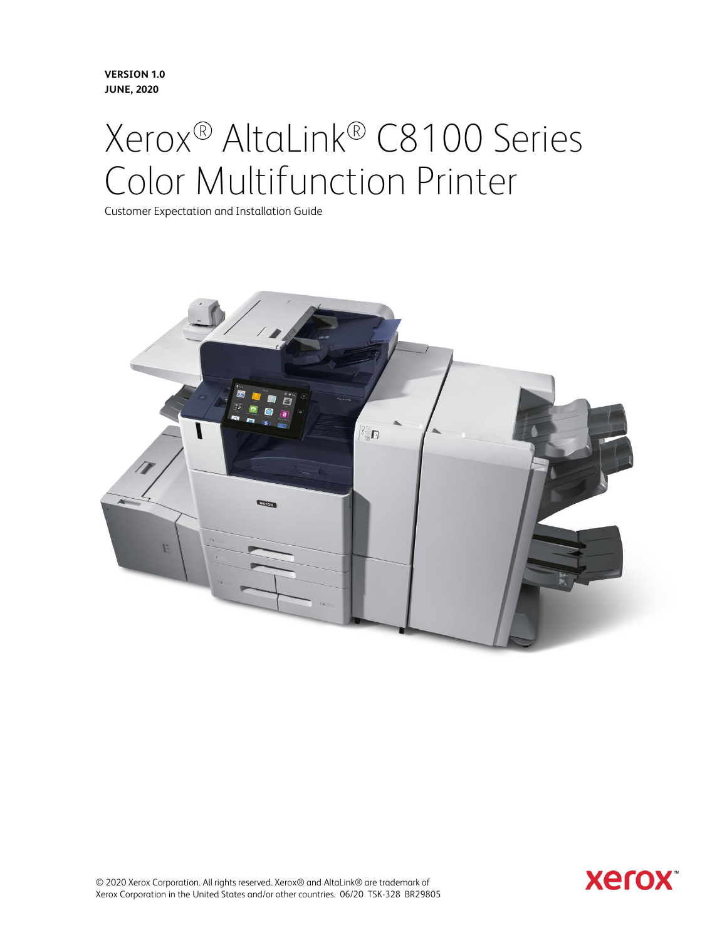**Version 1.0 June, 2020**

# Xerox® AltaLink® C8100 Series Color Multifunction Printer

Customer Expectation and Installation Guide



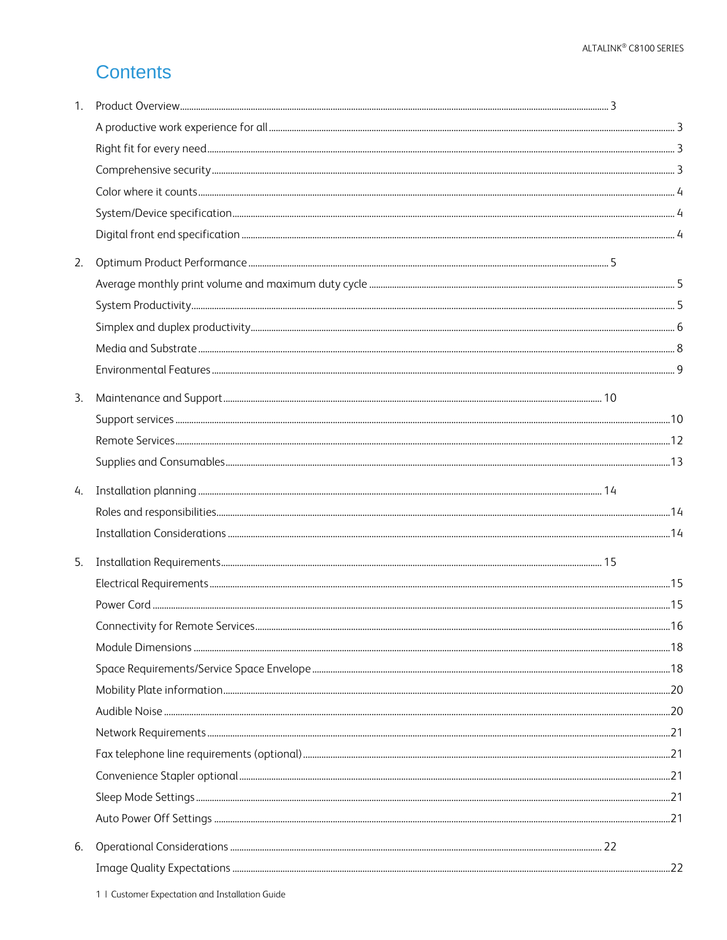# **Contents**

| 1. |  |    |
|----|--|----|
|    |  |    |
|    |  |    |
|    |  |    |
|    |  |    |
|    |  |    |
|    |  |    |
| 2. |  |    |
|    |  |    |
|    |  |    |
|    |  |    |
|    |  |    |
|    |  |    |
| 3. |  |    |
|    |  |    |
|    |  |    |
|    |  |    |
| 4. |  |    |
|    |  |    |
|    |  |    |
| 5. |  |    |
|    |  |    |
|    |  |    |
|    |  | 16 |
|    |  |    |
|    |  |    |
|    |  |    |
|    |  |    |
|    |  |    |
|    |  |    |
|    |  |    |
|    |  |    |
|    |  |    |
| 6. |  |    |
|    |  |    |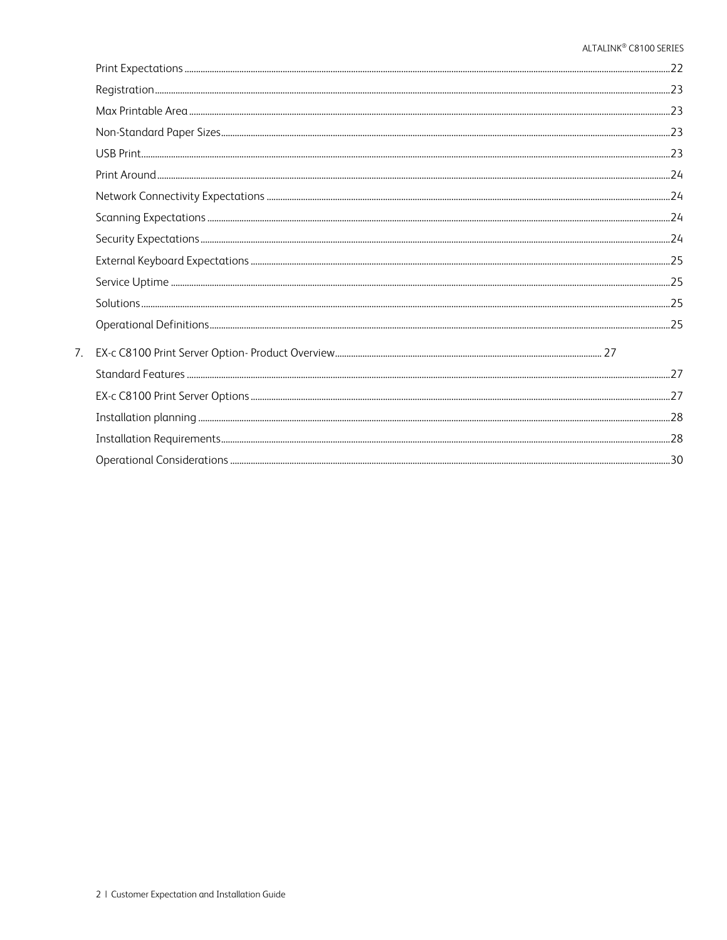| 7. |  |
|----|--|
|    |  |
|    |  |
|    |  |
|    |  |
|    |  |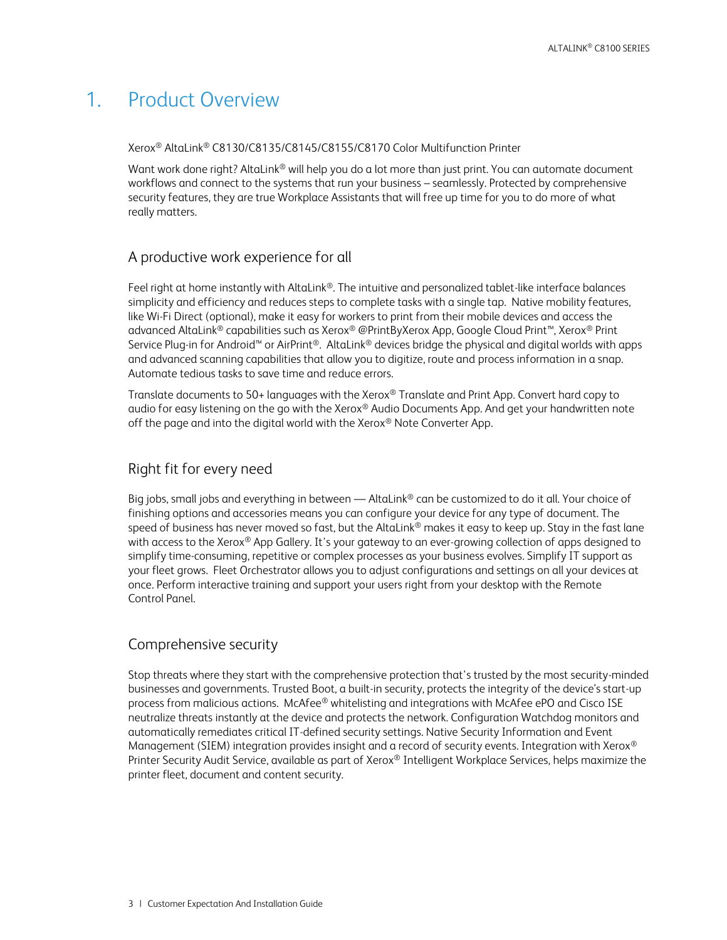# <span id="page-3-0"></span>1. Product Overview

Xerox® AltaLink® C8130/C8135/C8145/C8155/C8170 Color Multifunction Printer

Want work done right? AltaLink® will help you do a lot more than just print. You can automate document workflows and connect to the systems that run your business – seamlessly. Protected by comprehensive security features, they are true Workplace Assistants that will free up time for you to do more of what really matters.

### <span id="page-3-1"></span>A productive work experience for all

Feel right at home instantly with AltaLink®. The intuitive and personalized tablet-like interface balances simplicity and efficiency and reduces steps to complete tasks with a single tap. Native mobility features, like Wi-Fi Direct (optional), make it easy for workers to print from their mobile devices and access the advanced AltaLink® capabilities such as Xerox® @PrintByXerox App, Google Cloud Print™, Xerox® Print Service Plug-in for Android™ or AirPrint®. AltaLink® devices bridge the physical and digital worlds with apps and advanced scanning capabilities that allow you to digitize, route and process information in a snap. Automate tedious tasks to save time and reduce errors.

Translate documents to 50+ languages with the Xerox<sup>®</sup> Translate and Print App. Convert hard copy to audio for easy listening on the go with the Xerox® Audio Documents App. And get your handwritten note off the page and into the digital world with the Xerox® Note Converter App.

### <span id="page-3-2"></span>Right fit for every need

Big jobs, small jobs and everything in between — AltaLink<sup>®</sup> can be customized to do it all. Your choice of finishing options and accessories means you can configure your device for any type of document. The speed of business has never moved so fast, but the AltaLink® makes it easy to keep up. Stay in the fast lane with access to the Xerox® App Gallery. It's your gateway to an ever-growing collection of apps designed to simplify time-consuming, repetitive or complex processes as your business evolves. Simplify IT support as your fleet grows. Fleet Orchestrator allows you to adjust configurations and settings on all your devices at once. Perform interactive training and support your users right from your desktop with the Remote Control Panel.

# <span id="page-3-3"></span>Comprehensive security

Stop threats where they start with the comprehensive protection that's trusted by the most security-minded businesses and governments. Trusted Boot, a built-in security, protects the integrity of the device's start-up process from malicious actions. McAfee® whitelisting and integrations with McAfee ePO and Cisco ISE neutralize threats instantly at the device and protects the network. Configuration Watchdog monitors and automatically remediates critical IT-defined security settings. Native Security Information and Event Management (SIEM) integration provides insight and a record of security events. Integration with Xerox<sup>®</sup> Printer Security Audit Service, available as part of Xerox® Intelligent Workplace Services, helps maximize the printer fleet, document and content security.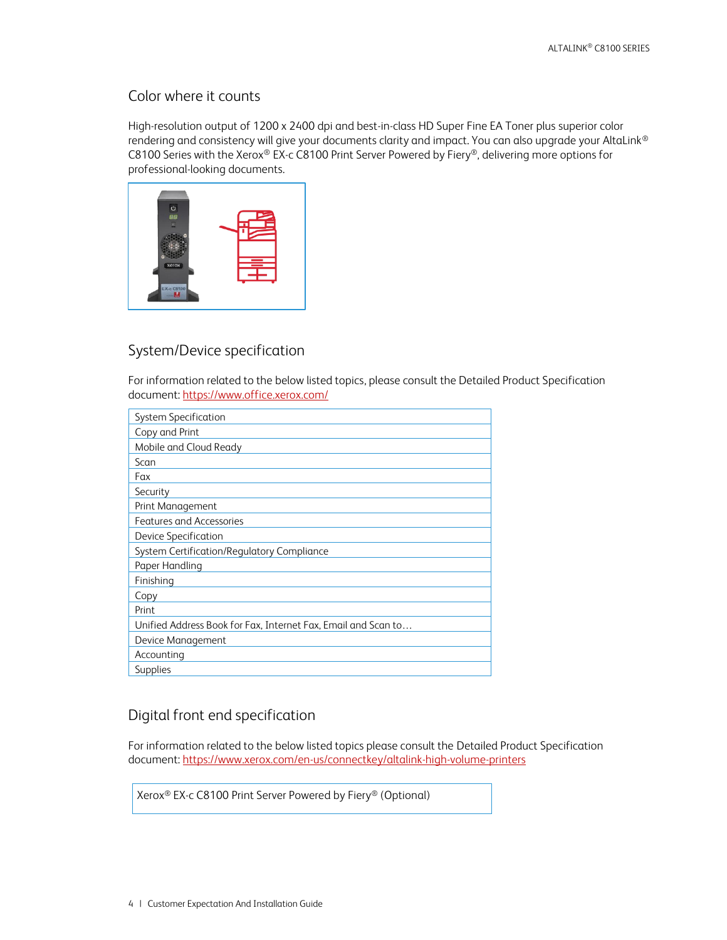### <span id="page-4-0"></span>Color where it counts

High-resolution output of 1200 x 2400 dpi and best-in-class HD Super Fine EA Toner plus superior color rendering and consistency will give your documents clarity and impact. You can also upgrade your AltaLink® C8100 Series with the Xerox® EX-c C8100 Print Server Powered by Fiery®, delivering more options for professional-looking documents.



# <span id="page-4-1"></span>System/Device specification

For information related to the below listed topics, please consult the Detailed Product Specification document: <https://www.office.xerox.com/>

| System Specification                                          |
|---------------------------------------------------------------|
| Copy and Print                                                |
| Mobile and Cloud Ready                                        |
| Scan                                                          |
| Fax                                                           |
| Security                                                      |
| Print Management                                              |
| Features and Accessories                                      |
| Device Specification                                          |
| System Certification/Regulatory Compliance                    |
| Paper Handling                                                |
| Finishing                                                     |
| Copy                                                          |
| Print                                                         |
| Unified Address Book for Fax, Internet Fax, Email and Scan to |
| Device Management                                             |
| Accounting                                                    |
| Supplies                                                      |

# <span id="page-4-2"></span>Digital front end specification

For information related to the below listed topics please consult the Detailed Product Specification document: <https://www.xerox.com/en-us/connectkey/altalink-high-volume-printers>

Xerox® EX-c C8100 Print Server Powered by Fiery® (Optional)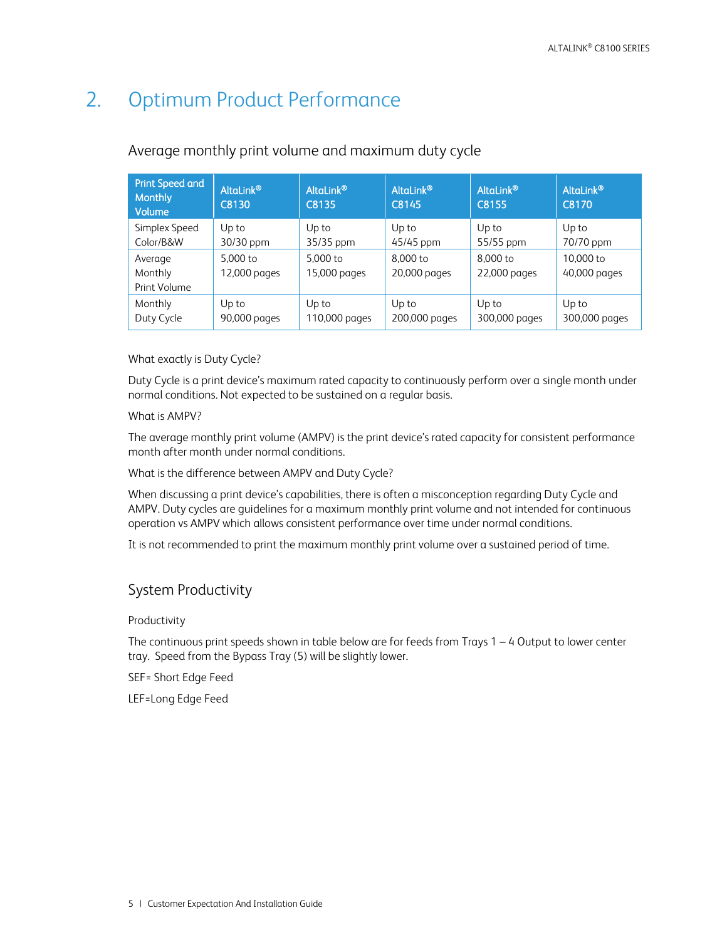# <span id="page-5-0"></span>2. Optimum Product Performance

| <b>Print Speed and</b><br><b>Monthly</b><br>Volume | AltaLink®<br>C8130    | AltaLink®<br>C8135     | AltaLink®<br>C8145     | AltaLink®'<br>C8155    | AltaLink®'<br>C8170    |
|----------------------------------------------------|-----------------------|------------------------|------------------------|------------------------|------------------------|
| Simplex Speed                                      | Up to                 | Up to                  | Up to                  | Up to                  | Up to                  |
| Color/B&W                                          | 30/30 ppm             | 35/35 ppm              | 45/45 ppm              | 55/55 ppm              | 70/70 ppm              |
| Average                                            | 5.000 to              | 5.000 to               | 8,000 to               | 8.000 to               | 10,000 to              |
| Monthly                                            | 12,000 pages          | 15,000 pages           | 20,000 pages           | 22,000 pages           | 40,000 pages           |
| Print Volume                                       |                       |                        |                        |                        |                        |
| Monthly<br>Duty Cycle                              | Up to<br>90,000 pages | Up to<br>110,000 pages | Up to<br>200,000 pages | Up to<br>300,000 pages | Up to<br>300,000 pages |

### <span id="page-5-1"></span>Average monthly print volume and maximum duty cycle

### What exactly is Duty Cycle?

Duty Cycle is a print device's maximum rated capacity to continuously perform over a single month under normal conditions. Not expected to be sustained on a regular basis.

### What is AMPV?

The average monthly print volume (AMPV) is the print device's rated capacity for consistent performance month after month under normal conditions.

What is the difference between AMPV and Duty Cycle?

When discussing a print device's capabilities, there is often a misconception regarding Duty Cycle and AMPV. Duty cycles are guidelines for a maximum monthly print volume and not intended for continuous operation vs AMPV which allows consistent performance over time under normal conditions.

<span id="page-5-2"></span>It is not recommended to print the maximum monthly print volume over a sustained period of time.

### System Productivity

### Productivity

The continuous print speeds shown in table below are for feeds from Trays 1 – 4 Output to lower center tray. Speed from the Bypass Tray (5) will be slightly lower.

SEF= Short Edge Feed

LEF=Long Edge Feed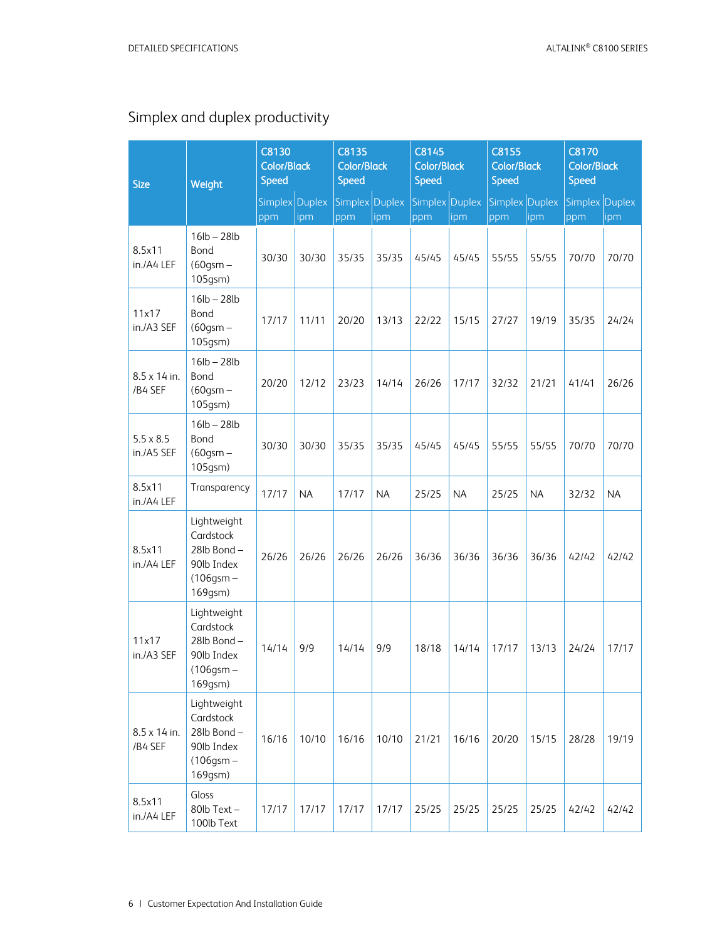# <span id="page-6-0"></span>Simplex and duplex productivity

| <b>Size</b>                    | Weight                                                                            | C8130<br><b>Color/Black</b><br><b>Speed</b> |           | C8135<br><b>Color/Black</b><br>Speed |           | C8145<br><b>Color/Black</b><br><b>Speed</b> |               | C8155<br><b>Color/Black</b><br><b>Speed</b> |           | <b>C8170</b><br><b>Color/Black</b><br><b>Speed</b> |           |
|--------------------------------|-----------------------------------------------------------------------------------|---------------------------------------------|-----------|--------------------------------------|-----------|---------------------------------------------|---------------|---------------------------------------------|-----------|----------------------------------------------------|-----------|
|                                |                                                                                   | Simplex Duplex<br>ppm                       | ipm       | Simplex Duplex<br>ppm                | ipm       | Simplex<br>ppm                              | Duplex<br>ipm | Simplex Duplex<br>ppm                       | ipm       | Simplex Duplex<br>ppm                              | ipm       |
| 8.5x11<br>in./A4 LEF           | $16lb - 28lb$<br>Bond<br>$(60$ gsm $-$<br>105gsm)                                 | 30/30                                       | 30/30     | 35/35                                | 35/35     | 45/45                                       | 45/45         | 55/55                                       | 55/55     | 70/70                                              | 70/70     |
| 11x17<br>in./A3 SEF            | $16lb - 28lb$<br>Bond<br>$(60$ gsm $-$<br>105gsm)                                 | 17/17                                       | 11/11     | 20/20                                | 13/13     | 22/22                                       | 15/15         | 27/27                                       | 19/19     | 35/35                                              | 24/24     |
| 8.5 x 14 in.<br>/B4 SEF        | $16lb - 28lb$<br>Bond<br>$(60$ gsm $-$<br>105gsm)                                 | 20/20                                       | 12/12     | 23/23                                | 14/14     | 26/26                                       | 17/17         | 32/32                                       | 21/21     | 41/41                                              | 26/26     |
| $5.5 \times 8.5$<br>in./A5 SEF | $16lb - 28lb$<br>Bond<br>$(60$ gsm $-$<br>105gsm)                                 | 30/30                                       | 30/30     | 35/35                                | 35/35     | 45/45                                       | 45/45         | 55/55                                       | 55/55     | 70/70                                              | 70/70     |
| 8.5x11<br>in./A4 LEF           | Transparency                                                                      | 17/17                                       | <b>NA</b> | 17/17                                | <b>NA</b> | 25/25                                       | <b>NA</b>     | 25/25                                       | <b>NA</b> | 32/32                                              | <b>NA</b> |
| 8.5x11<br>in./A4 LEF           | Lightweight<br>Cardstock<br>28lb Bond-<br>90lb Index<br>$(106$ gsm $-$<br>169gsm) | 26/26                                       | 26/26     | 26/26                                | 26/26     | 36/36                                       | 36/36         | 36/36                                       | 36/36     | 42/42                                              | 42/42     |
| 11x17<br>in./A3 SEF            | Lightweight<br>Cardstock<br>28lb Bond-<br>90lb Index<br>$(106$ gsm $-$<br>169gsm) | 14/14                                       | 9/9       | 14/14                                | 9/9       | 18/18                                       | 14/14         | 17/17                                       | 13/13     | 24/24                                              | 17/17     |
| 8.5 x 14 in.<br>/B4 SEF        | Lightweight<br>Cardstock<br>28lb Bond-<br>90lb Index<br>$(106$ gsm $-$<br>169gsm) | 16/16                                       | 10/10     | 16/16                                | 10/10     | 21/21                                       | 16/16         | 20/20                                       | 15/15     | 28/28                                              | 19/19     |
| 8.5x11<br>in./A4 LEF           | Gloss<br>80lb Text-<br>100lb Text                                                 | 17/17                                       | 17/17     | 17/17                                | 17/17     | 25/25                                       | 25/25         | 25/25                                       | 25/25     | 42/42                                              | 42/42     |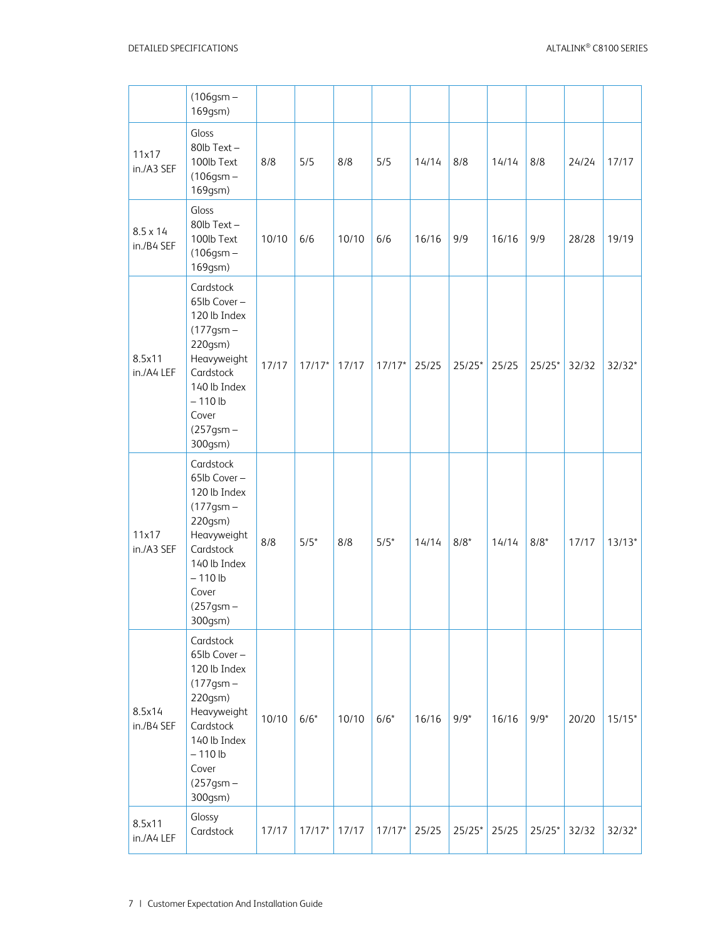|                               | $(106$ gsm $-$<br>169gsm)                                                                                                                                            |       |          |       |          |       |          |       |          |       |          |
|-------------------------------|----------------------------------------------------------------------------------------------------------------------------------------------------------------------|-------|----------|-------|----------|-------|----------|-------|----------|-------|----------|
| 11x17<br>in./A3 SEF           | Gloss<br>80lb Text-<br>100lb Text<br>$(106$ gsm $-$<br>169gsm)                                                                                                       | 8/8   | 5/5      | 8/8   | 5/5      | 14/14 | 8/8      | 14/14 | 8/8      | 24/24 | 17/17    |
| $8.5 \times 14$<br>in./B4 SEF | Gloss<br>80lb Text-<br>100lb Text<br>$(106$ gsm $-$<br>169gsm)                                                                                                       | 10/10 | 6/6      | 10/10 | 6/6      | 16/16 | 9/9      | 16/16 | 9/9      | 28/28 | 19/19    |
| 8.5x11<br>in./A4 LEF          | Cardstock<br>65lb Cover-<br>120 lb Index<br>$(177$ gsm $-$<br>220gsm)<br>Heavyweight<br>Cardstock<br>140 lb Index<br>$-110$ lb<br>Cover<br>$(257$ gsm $-$<br>300gsm) | 17/17 | $17/17*$ | 17/17 | $17/17*$ | 25/25 | $25/25*$ | 25/25 | $25/25*$ | 32/32 | $32/32*$ |
| 11x17<br>in./A3 SEF           | Cardstock<br>65lb Cover-<br>120 lb Index<br>$(177$ gsm $-$<br>220gsm)<br>Heavyweight<br>Cardstock<br>140 lb Index<br>$-110$ lb<br>Cover<br>$(257$ gsm $-$<br>300gsm) | 8/8   | $5/5*$   | 8/8   | $5/5*$   | 14/14 | $8/8*$   | 14/14 | $8/8*$   | 17/17 | $13/13*$ |
| 8.5x14<br>in./B4 SEF          | Cardstock<br>65lb Cover-<br>120 lb Index<br>$(177$ gsm $-$<br>220gsm)<br>Heavyweight<br>Cardstock<br>140 lb Index<br>$-110$ lb<br>Cover<br>$(257$ gsm $-$<br>300gsm) | 10/10 | $6/6*$   | 10/10 | $6/6*$   | 16/16 | $9/9*$   | 16/16 | $9/9*$   | 20/20 | $15/15*$ |
| 8.5x11<br>in./A4 LEF          | Glossy<br>Cardstock                                                                                                                                                  | 17/17 | $17/17*$ | 17/17 | $17/17*$ | 25/25 | $25/25*$ | 25/25 | $25/25*$ | 32/32 | $32/32*$ |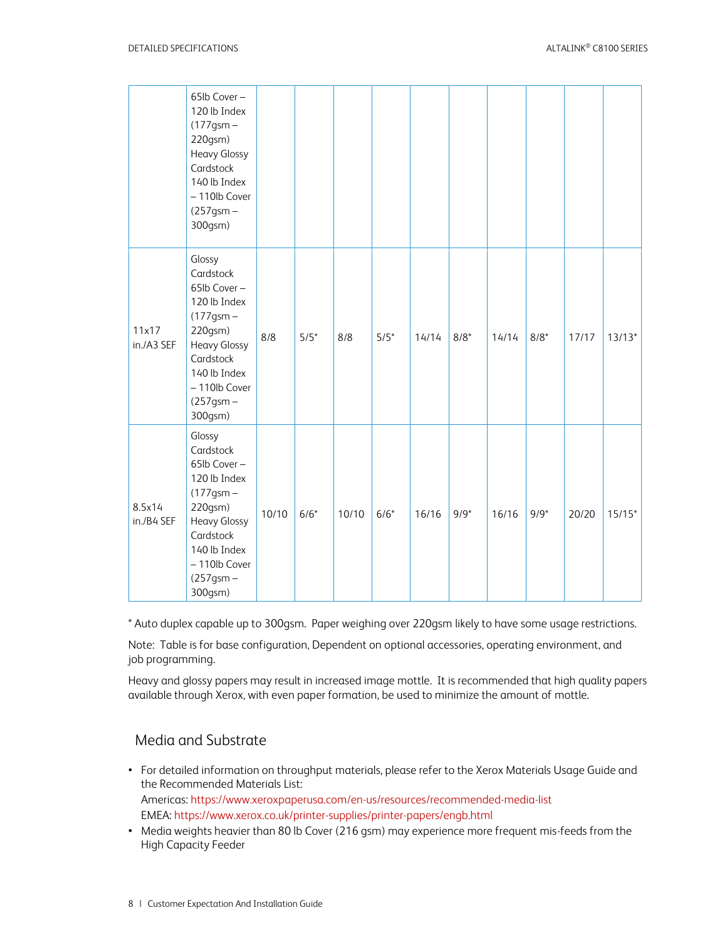|                      | 65lb Cover-<br>120 lb Index<br>$(177$ gsm $-$<br>220gsm)<br><b>Heavy Glossy</b><br>Cardstock<br>140 lb Index<br>- 110lb Cover<br>$(257$ gsm $-$<br>300gsm)                          |       |        |       |        |       |        |       |        |       |          |
|----------------------|-------------------------------------------------------------------------------------------------------------------------------------------------------------------------------------|-------|--------|-------|--------|-------|--------|-------|--------|-------|----------|
| 11x17<br>in./A3 SEF  | Glossy<br>Cardstock<br>65lb Cover-<br>120 lb Index<br>$(177$ gsm $-$<br>220gsm)<br><b>Heavy Glossy</b><br>Cardstock<br>140 lb Index<br>- 110lb Cover<br>$(257$ gsm $-$<br>300gsm)   | 8/8   | $5/5*$ | 8/8   | $5/5*$ | 14/14 | $8/8*$ | 14/14 | $8/8*$ | 17/17 | $13/13*$ |
| 8.5x14<br>in./B4 SEF | Glossy<br>Cardstock<br>65lb Cover-<br>120 lb Index<br>$(177$ gsm $-$<br>220gsm)<br><b>Heavy Glossy</b><br>Cardstock<br>140 lb Index<br>$-110$ lb Cover<br>$(257$ gsm $-$<br>300gsm) | 10/10 | $6/6*$ | 10/10 | $6/6*$ | 16/16 | $9/9*$ | 16/16 | $9/9*$ | 20/20 | $15/15*$ |

\* Auto duplex capable up to 300gsm. Paper weighing over 220gsm likely to have some usage restrictions.

Note: Table is for base configuration, Dependent on optional accessories, operating environment, and job programming.

Heavy and glossy papers may result in increased image mottle. It is recommended that high quality papers available through Xerox, with even paper formation, be used to minimize the amount of mottle.

### <span id="page-8-0"></span>Media and Substrate

- For detailed information on throughput materials, please refer to the Xerox Materials Usage Guide and the Recommended Materials List: Americas[: https://www.xeroxpaperusa.com/en-us/resources/recommended-media-list](https://www.xeroxpaperusa.com/en-us/resources/recommended-media-list)  EMEA:<https://www.xerox.co.uk/printer-supplies/printer-papers/engb.html>
- Media weights heavier than 80 lb Cover (216 gsm) may experience more frequent mis-feeds from the High Capacity Feeder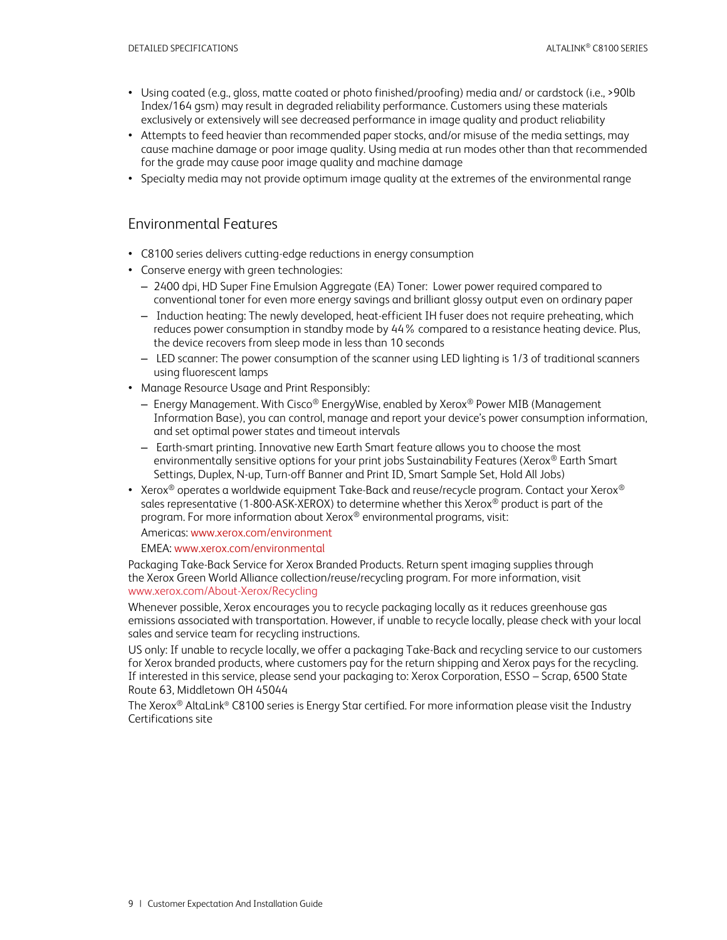- Using coated (e.g., gloss, matte coated or photo finished/proofing) media and/ or cardstock (i.e., >90lb Index/164 gsm) may result in degraded reliability performance. Customers using these materials exclusively or extensively will see decreased performance in image quality and product reliability
- Attempts to feed heavier than recommended paper stocks, and/or misuse of the media settings, may cause machine damage or poor image quality. Using media at run modes other than that recommended for the grade may cause poor image quality and machine damage
- <span id="page-9-0"></span>• Specialty media may not provide optimum image quality at the extremes of the environmental range

### Environmental Features

- C8100 series delivers cutting-edge reductions in energy consumption
- Conserve energy with green technologies:
	- 2400 dpi, HD Super Fine Emulsion Aggregate (EA) Toner: Lower power required compared to conventional toner for even more energy savings and brilliant glossy output even on ordinary paper
	- Induction heating: The newly developed, heat-efficient IH fuser does not require preheating, which reduces power consumption in standby mode by 44% compared to a resistance heating device. Plus, the device recovers from sleep mode in less than 10 seconds
	- LED scanner: The power consumption of the scanner using LED lighting is 1/3 of traditional scanners using fluorescent lamps
- Manage Resource Usage and Print Responsibly:
	- Energy Management. With Cisco® EnergyWise, enabled by Xerox® Power MIB (Management Information Base), you can control, manage and report your device's power consumption information, and set optimal power states and timeout intervals
	- Earth-smart printing. Innovative new Earth Smart feature allows you to choose the most environmentally sensitive options for your print jobs Sustainability Features (Xerox® Earth Smart Settings, Duplex, N-up, Turn-off Banner and Print ID, Smart Sample Set, Hold All Jobs)
- Xerox<sup>®</sup> operates a worldwide equipment Take-Back and reuse/recycle program. Contact your Xerox<sup>®</sup> sales representative (1-800-ASK-XEROX) to determine whether this Xerox® product is part of the program. For more information about Xerox® environmental programs, visit:

Americas[: www.xerox.com/environment](http://www.xerox.com/environment) 

### EMEA: [www.xerox.com/environmental](http://www.xerox.com/environmental)

Packaging Take-Back Service for Xerox Branded Products. Return spent imaging supplies through the Xerox Green World Alliance collection/reuse/recycling program. For more information, visit [www.xerox.com/About-Xerox/Recycling](http://www.xerox.com/About-Xerox/Recycling) 

Whenever possible, Xerox encourages you to recycle packaging locally as it reduces greenhouse gas emissions associated with transportation. However, if unable to recycle locally, please check with your local sales and service team for recycling instructions.

US only: If unable to recycle locally, we offer a packaging Take-Back and recycling service to our customers for Xerox branded products, where customers pay for the return shipping and Xerox pays for the recycling. If interested in this service, please send your packaging to: Xerox Corporation, ESSO – Scrap, 6500 State Route 63, Middletown OH 45044

The Xerox<sup>®</sup> AltaLink® C8100 series is Energy Star certified. For more information please visit the Industry [Certifications site](https://www.office.xerox.com/latest/XOGFS-14U.PDF)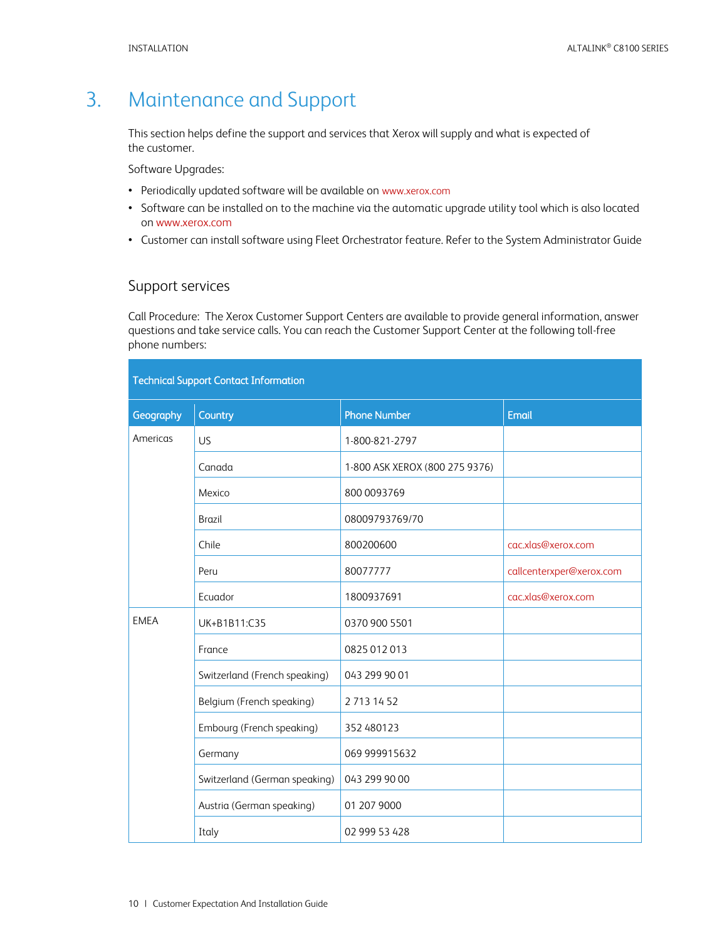# <span id="page-10-0"></span>3. Maintenance and Support

This section helps define the support and services that Xerox will supply and what is expected of the customer.

Software Upgrades:

- Periodically updated software will be available on [www.xerox.com](http://www.xerox.com/)
- Software can be installed on to the machine via the automatic upgrade utility tool which is also located o[n www.xerox.com](http://www.xerox.com/)
- <span id="page-10-1"></span>• Customer can install software using Fleet Orchestrator feature. Refer to the System Administrator Guide

### Support services

Call Procedure: The Xerox Customer Support Centers are available to provide general information, answer questions and take service calls. You can reach the Customer Support Center at the following toll-free phone numbers:

| <b>Technical Support Contact Information</b> |                               |                                |                          |  |  |  |  |
|----------------------------------------------|-------------------------------|--------------------------------|--------------------------|--|--|--|--|
| Geography                                    | Country                       | <b>Phone Number</b>            | <b>Email</b>             |  |  |  |  |
| Americas                                     | US                            | 1-800-821-2797                 |                          |  |  |  |  |
|                                              | Canada                        | 1-800 ASK XEROX (800 275 9376) |                          |  |  |  |  |
|                                              | Mexico                        | 800 0093769                    |                          |  |  |  |  |
|                                              | <b>Brazil</b>                 | 08009793769/70                 |                          |  |  |  |  |
|                                              | Chile                         | 800200600                      | cac.xlas@xerox.com       |  |  |  |  |
|                                              | Peru                          | 80077777                       | callcenterxper@xerox.com |  |  |  |  |
|                                              | Ecuador                       | 1800937691                     | cac.xlas@xerox.com       |  |  |  |  |
| <b>EMEA</b>                                  | UK+B1B11:C35                  | 0370 900 5501                  |                          |  |  |  |  |
|                                              | France                        | 0825 012 013                   |                          |  |  |  |  |
|                                              | Switzerland (French speaking) | 043 299 90 01                  |                          |  |  |  |  |
|                                              | Belgium (French speaking)     | 2 713 14 52                    |                          |  |  |  |  |
|                                              | Embourg (French speaking)     | 352 480123                     |                          |  |  |  |  |
|                                              | Germany                       | 069 999915632                  |                          |  |  |  |  |
|                                              | Switzerland (German speaking) | 043 299 90 00                  |                          |  |  |  |  |
|                                              | Austria (German speaking)     | 01 207 9000                    |                          |  |  |  |  |
|                                              | Italy                         | 02 999 53 428                  |                          |  |  |  |  |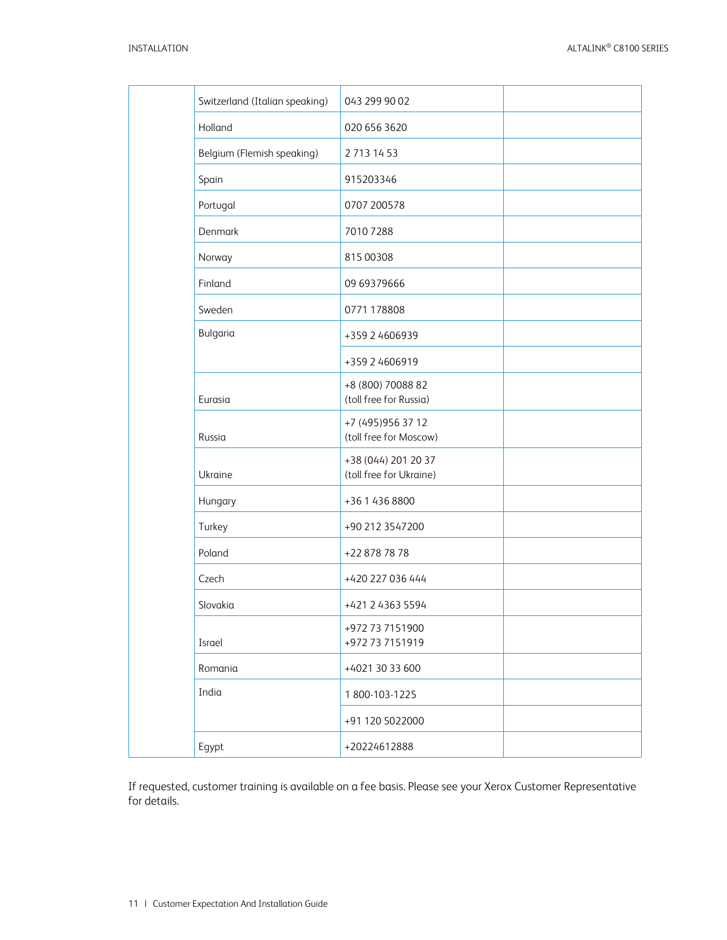| Switzerland (Italian speaking) | 043 299 90 02                                  |
|--------------------------------|------------------------------------------------|
| Holland                        | 020 656 3620                                   |
| Belgium (Flemish speaking)     | 2 713 14 53                                    |
| Spain                          | 915203346                                      |
| Portugal                       | 0707 200578                                    |
| Denmark                        | 7010 7288                                      |
| Norway                         | 815 00308                                      |
| Finland                        | 09 69379666                                    |
| Sweden                         | 0771 178808                                    |
| Bulgaria                       | +359 2 4606939                                 |
|                                | +359 2 4606919                                 |
| Eurasia                        | +8 (800) 70088 82<br>(toll free for Russia)    |
| Russia                         | +7 (495) 956 37 12<br>(toll free for Moscow)   |
| Ukraine                        | +38 (044) 201 20 37<br>(toll free for Ukraine) |
| Hungary                        | +36 1 436 8800                                 |
| Turkey                         | +90 212 3547200                                |
| Poland                         | +22 878 78 78                                  |
| Czech                          | +420 227 036 444                               |
| Slovakia                       | +421 2 4363 5594                               |
| Israel                         | +972 73 7151900<br>+972 73 7151919             |
| Romania                        | +4021 30 33 600                                |
| India                          | 1800-103-1225                                  |
|                                | +91 120 5022000                                |
| Egypt                          | +20224612888                                   |
|                                |                                                |

If requested, customer training is available on a fee basis. Please see your Xerox Customer Representative for details.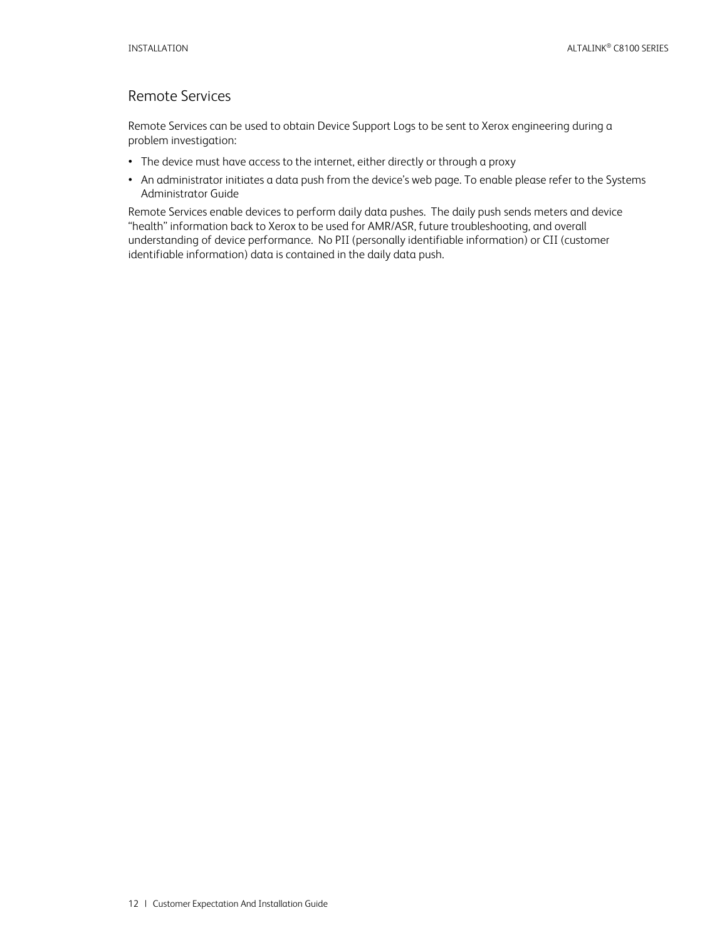# <span id="page-12-0"></span>Remote Services

Remote Services can be used to obtain Device Support Logs to be sent to Xerox engineering during a problem investigation:

- The device must have access to the internet, either directly or through a proxy
- An administrator initiates a data push from the device's web page. To enable please refer to the Systems Administrator Guide

Remote Services enable devices to perform daily data pushes. The daily push sends meters and device "health" information back to Xerox to be used for AMR/ASR, future troubleshooting, and overall understanding of device performance. No PII (personally identifiable information) or CII (customer identifiable information) data is contained in the daily data push.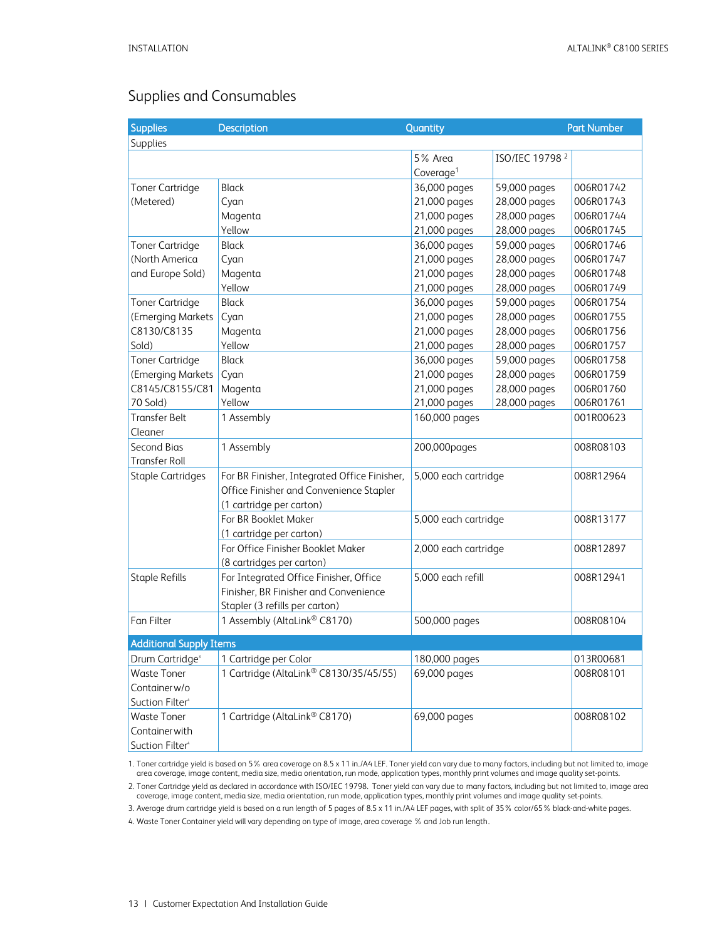# <span id="page-13-0"></span>Supplies and Consumables

| <b>Supplies</b>                | <b>Description</b>                           | Quantity              |                            | <b>Part Number</b> |
|--------------------------------|----------------------------------------------|-----------------------|----------------------------|--------------------|
| Supplies                       |                                              |                       |                            |                    |
|                                |                                              | 5% Area               | ISO/IEC 19798 <sup>2</sup> |                    |
|                                |                                              | Coverage <sup>1</sup> |                            |                    |
| <b>Toner Cartridge</b>         | <b>Black</b>                                 | 36,000 pages          | 59,000 pages               | 006R01742          |
| (Metered)                      | Cyan                                         | 21,000 pages          | 28,000 pages               | 006R01743          |
|                                | Magenta                                      | 21,000 pages          | 28,000 pages               | 006R01744          |
|                                | Yellow                                       | 21,000 pages          | 28,000 pages               | 006R01745          |
| <b>Toner Cartridge</b>         | <b>Black</b>                                 | 36,000 pages          | 59,000 pages               | 006R01746          |
| (North America                 | Cyan                                         | 21,000 pages          | 28,000 pages               | 006R01747          |
| and Europe Sold)               | Magenta                                      | 21,000 pages          | 28,000 pages               | 006R01748          |
|                                | Yellow                                       | 21,000 pages          | 28,000 pages               | 006R01749          |
| <b>Toner Cartridge</b>         | Black                                        | 36,000 pages          | 59,000 pages               | 006R01754          |
| (Emerging Markets              | Cyan                                         | 21,000 pages          | 28,000 pages               | 006R01755          |
| C8130/C8135                    | Magenta                                      | 21,000 pages          | 28,000 pages               | 006R01756          |
| Sold)                          | Yellow                                       | 21,000 pages          | 28,000 pages               | 006R01757          |
| <b>Toner Cartridge</b>         | <b>Black</b>                                 | 36,000 pages          | 59,000 pages               | 006R01758          |
| (Emerging Markets              | Cyan                                         | 21,000 pages          | 28,000 pages               | 006R01759          |
| C8145/C8155/C81                | Magenta                                      | 21,000 pages          | 28,000 pages               | 006R01760          |
| 70 Sold)                       | Yellow                                       | 21,000 pages          | 28,000 pages               | 006R01761          |
| <b>Transfer Belt</b>           | 1 Assembly                                   | 160,000 pages         |                            | 001R00623          |
| Cleaner                        |                                              |                       |                            |                    |
| Second Bias                    | 1 Assembly                                   | 200,000pages          |                            | 008R08103          |
| <b>Transfer Roll</b>           |                                              |                       |                            |                    |
| <b>Staple Cartridges</b>       | For BR Finisher, Integrated Office Finisher, | 5,000 each cartridge  |                            | 008R12964          |
|                                | Office Finisher and Convenience Stapler      |                       |                            |                    |
|                                | (1 cartridge per carton)                     |                       |                            |                    |
|                                | For BR Booklet Maker                         | 5,000 each cartridge  |                            | 008R13177          |
|                                | (1 cartridge per carton)                     |                       |                            |                    |
|                                | For Office Finisher Booklet Maker            | 2,000 each cartridge  |                            | 008R12897          |
|                                | (8 cartridges per carton)                    |                       |                            |                    |
| <b>Staple Refills</b>          | For Integrated Office Finisher, Office       | 5,000 each refill     |                            | 008R12941          |
|                                | Finisher, BR Finisher and Convenience        |                       |                            |                    |
|                                | Stapler (3 refills per carton)               |                       |                            |                    |
| Fan Filter                     | 1 Assembly (AltaLink® C8170)                 | 500,000 pages         |                            | 008R08104          |
| <b>Additional Supply Items</b> |                                              |                       |                            |                    |
| Drum Cartridge <sup>3</sup>    | 1 Cartridge per Color                        | 180,000 pages         |                            | 013R00681          |
| <b>Waste Toner</b>             | 1 Cartridge (AltaLink® C8130/35/45/55)       | 69,000 pages          |                            | 008R08101          |
| Container w/o                  |                                              |                       |                            |                    |
| Suction Filter <sup>4</sup>    |                                              |                       |                            |                    |
| <b>Waste Toner</b>             | 1 Cartridge (AltaLink® C8170)                | 69,000 pages          |                            | 008R08102          |
| Container with                 |                                              |                       |                            |                    |
| Suction Filter <sup>4</sup>    |                                              |                       |                            |                    |

1. Toner cartridge yield is based on 5% area coverage on 8.5 x 11 in./A4 LEF. Toner yield can vary due to many factors, including but not limited to, image area coverage, image content, media size, media orientation, run mode, application types, monthly print volumes and image quality set-points.

2. Toner Cartridge yield as declared in accordance with ISO/IEC 19798. Toner yield can vary due to many factors, including but not limited to, image area coverage, image content, media size, media orientation, run mode, application types, monthly print volumes and image quality set-points.

3. Average drum cartridge yield is based on a run length of 5 pages of 8.5 x 11 in./A4 LEF pages, with split of 35% color/65% black-and-white pages.

4. Waste Toner Container yield will vary depending on type of image, area coverage % and Job run length.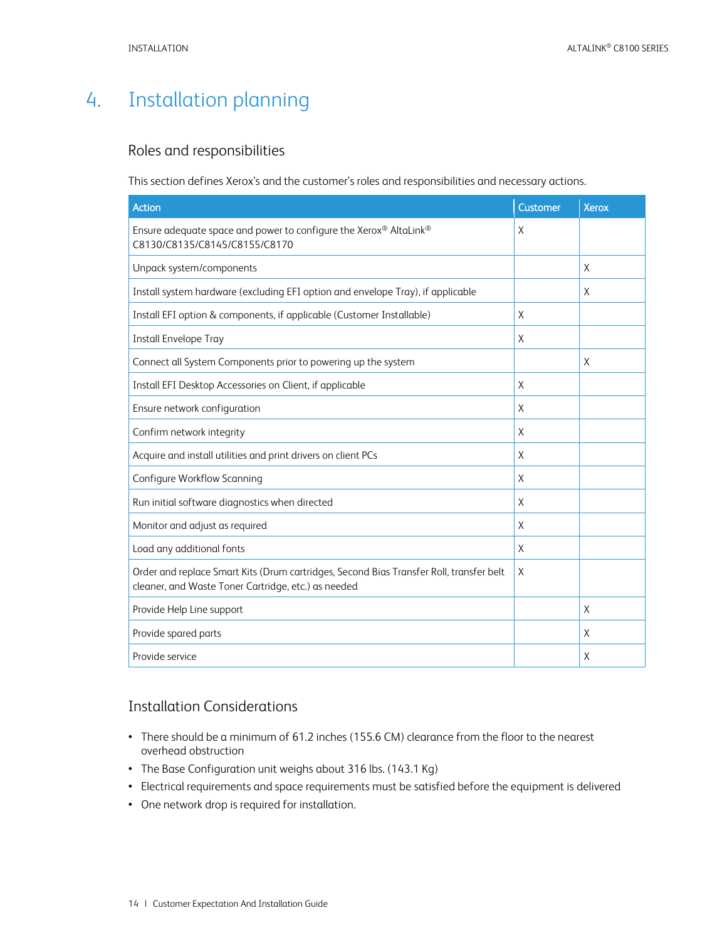# <span id="page-14-0"></span>4. Installation planning

### <span id="page-14-1"></span>Roles and responsibilities

This section defines Xerox's and the customer's roles and responsibilities and necessary actions.

| <b>Action</b>                                                                                                                                  | Customer | <b>Xerox</b> |
|------------------------------------------------------------------------------------------------------------------------------------------------|----------|--------------|
| Ensure adequate space and power to configure the Xerox® AltaLink®<br>C8130/C8135/C8145/C8155/C8170                                             | X        |              |
| Unpack system/components                                                                                                                       |          | X            |
| Install system hardware (excluding EFI option and envelope Tray), if applicable                                                                |          | X            |
| Install EFI option & components, if applicable (Customer Installable)                                                                          | X        |              |
| <b>Install Envelope Tray</b>                                                                                                                   | X        |              |
| Connect all System Components prior to powering up the system                                                                                  |          | X            |
| Install EFI Desktop Accessories on Client, if applicable                                                                                       | X        |              |
| Ensure network configuration                                                                                                                   | X        |              |
| Confirm network integrity                                                                                                                      | X        |              |
| Acquire and install utilities and print drivers on client PCs                                                                                  | X        |              |
| Configure Workflow Scanning                                                                                                                    | X        |              |
| Run initial software diagnostics when directed                                                                                                 | X        |              |
| Monitor and adjust as required                                                                                                                 | X        |              |
| Load any additional fonts                                                                                                                      | X        |              |
| Order and replace Smart Kits (Drum cartridges, Second Bias Transfer Roll, transfer belt<br>cleaner, and Waste Toner Cartridge, etc.) as needed | X        |              |
| Provide Help Line support                                                                                                                      |          | X            |
| Provide spared parts                                                                                                                           |          | X            |
| Provide service                                                                                                                                |          | X            |

### <span id="page-14-2"></span>Installation Considerations

- There should be a minimum of 61.2 inches (155.6 CM) clearance from the floor to the nearest overhead obstruction
- The Base Configuration unit weighs about 316 lbs. (143.1 Kg)
- Electrical requirements and space requirements must be satisfied before the equipment is delivered
- One network drop is required for installation.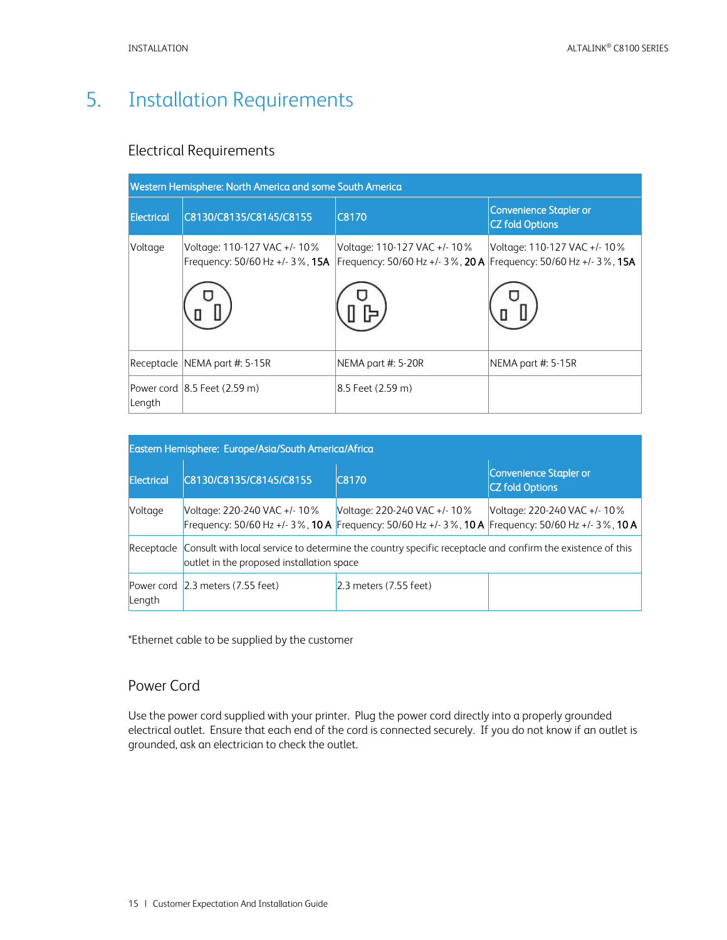# <span id="page-15-0"></span>5. Installation Requirements

### <span id="page-15-1"></span>Electrical Requirements

| Western Hemisphere: North America and some South America |                                                                |                                                                                                  |                                                         |  |  |  |  |  |
|----------------------------------------------------------|----------------------------------------------------------------|--------------------------------------------------------------------------------------------------|---------------------------------------------------------|--|--|--|--|--|
| <b>Electrical</b>                                        | C8130/C8135/C8145/C8155                                        | C8170                                                                                            | <b>Convenience Stapler or</b><br><b>CZ fold Options</b> |  |  |  |  |  |
| Voltage                                                  | Voltage: 110-127 VAC +/-10%<br>Frequency: 50/60 Hz +/- 3%, 15A | Voltage: 110-127 VAC +/- 10%<br>Frequency: 50/60 Hz +/- 3%, 20 A Frequency: 50/60 Hz +/- 3%, 15A | Voltage: 110-127 VAC +/- 10%                            |  |  |  |  |  |
|                                                          |                                                                |                                                                                                  |                                                         |  |  |  |  |  |
|                                                          | Receptacle NEMA part #: $5-15R$                                | NEMA part $#: 5-20R$                                                                             | NEMA part $#: 5-15R$                                    |  |  |  |  |  |
| Length                                                   | Power cord $ 8.5$ Feet (2.59 m)                                | $8.5$ Feet (2.59 m)                                                                              |                                                         |  |  |  |  |  |

| Eastern Hemisphere: Europe/Asia/South America/Africa |                                                                                                                                                                   |                                                                                                                                                            |                                                  |  |  |
|------------------------------------------------------|-------------------------------------------------------------------------------------------------------------------------------------------------------------------|------------------------------------------------------------------------------------------------------------------------------------------------------------|--------------------------------------------------|--|--|
| Electrical                                           | C8130/C8135/C8145/C8155                                                                                                                                           | <b>C8170</b>                                                                                                                                               | Convenience Stapler or<br><b>CZ</b> fold Options |  |  |
| Voltage                                              | Voltage: 220-240 VAC +/- 10 %                                                                                                                                     | Voltage: 220-240 VAC +/- 10%<br>Frequency: 50/60 Hz +/- 3 %, <b>10 A</b> Frequency: 50/60 Hz +/- 3 %, <b>10 A</b> Frequency: 50/60 Hz +/- 3 %, <b>10 A</b> | Voltage: 220-240 VAC +/-10%                      |  |  |
|                                                      | Receptacle Consult with local service to determine the country specific receptacle and confirm the existence of this<br>outlet in the proposed installation space |                                                                                                                                                            |                                                  |  |  |
| Length                                               | Power cord 2.3 meters (7.55 feet)                                                                                                                                 | $2.3$ meters (7.55 feet)                                                                                                                                   |                                                  |  |  |

<span id="page-15-2"></span>\*Ethernet cable to be supplied by the customer

### Power Cord

Use the power cord supplied with your printer. Plug the power cord directly into a properly grounded electrical outlet. Ensure that each end of the cord is connected securely. If you do not know if an outlet is grounded, ask an electrician to check the outlet.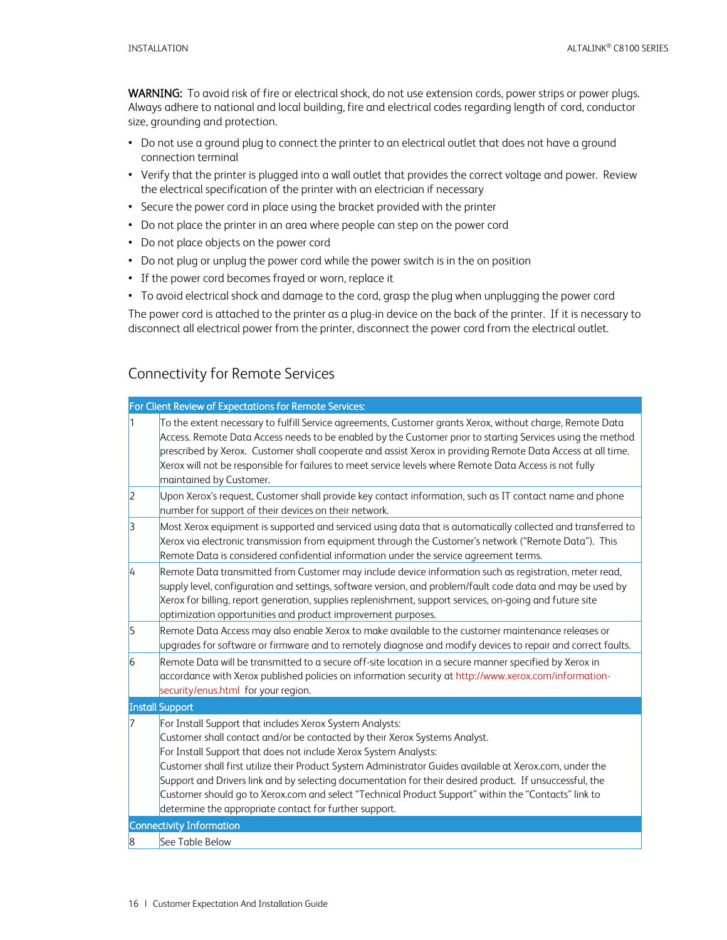WARNING: To avoid risk of fire or electrical shock, do not use extension cords, power strips or power plugs. Always adhere to national and local building, fire and electrical codes regarding length of cord, conductor size, grounding and protection.

- Do not use a ground plug to connect the printer to an electrical outlet that does not have a ground connection terminal
- Verify that the printer is plugged into a wall outlet that provides the correct voltage and power. Review the electrical specification of the printer with an electrician if necessary
- Secure the power cord in place using the bracket provided with the printer
- Do not place the printer in an area where people can step on the power cord
- Do not place objects on the power cord
- Do not plug or unplug the power cord while the power switch is in the on position
- If the power cord becomes frayed or worn, replace it
- To avoid electrical shock and damage to the cord, grasp the plug when unplugging the power cord

The power cord is attached to the printer as a plug-in device on the back of the printer. If it is necessary to disconnect all electrical power from the printer, disconnect the power cord from the electrical outlet.

### <span id="page-16-0"></span>Connectivity for Remote Services

|                | For Client Review of Expectations for Remote Services:                                                                                                                                                                                                                                                                                                                                                                                                                                                                                                                                              |
|----------------|-----------------------------------------------------------------------------------------------------------------------------------------------------------------------------------------------------------------------------------------------------------------------------------------------------------------------------------------------------------------------------------------------------------------------------------------------------------------------------------------------------------------------------------------------------------------------------------------------------|
| 1              | To the extent necessary to fulfill Service agreements, Customer grants Xerox, without charge, Remote Data<br>Access. Remote Data Access needs to be enabled by the Customer prior to starting Services using the method<br>prescribed by Xerox. Customer shall cooperate and assist Xerox in providing Remote Data Access at all time.<br>Xerox will not be responsible for failures to meet service levels where Remote Data Access is not fully<br>maintained by Customer.                                                                                                                        |
| 2              | Upon Xerox's request, Customer shall provide key contact information, such as IT contact name and phone<br>number for support of their devices on their network.                                                                                                                                                                                                                                                                                                                                                                                                                                    |
| 3              | Most Xerox equipment is supported and serviced using data that is automatically collected and transferred to<br>Xerox via electronic transmission from equipment through the Customer's network ("Remote Data"). This<br>Remote Data is considered confidential information under the service agreement terms.                                                                                                                                                                                                                                                                                      |
| I4             | Remote Data transmitted from Customer may include device information such as registration, meter read,<br>supply level, configuration and settings, software version, and problem/fault code data and may be used by<br>Xerox for billing, report generation, supplies replenishment, support services, on-going and future site<br>optimization opportunities and product improvement purposes.                                                                                                                                                                                                    |
| 5              | Remote Data Access may also enable Xerox to make available to the customer maintenance releases or<br>upgrades for software or firmware and to remotely diagnose and modify devices to repair and correct faults.                                                                                                                                                                                                                                                                                                                                                                                   |
| $\overline{6}$ | Remote Data will be transmitted to a secure off-site location in a secure manner specified by Xerox in<br>accordance with Xerox published policies on information security at http://www.xerox.com/information-<br>security/enus.html for your region.                                                                                                                                                                                                                                                                                                                                              |
|                | <b>Install Support</b>                                                                                                                                                                                                                                                                                                                                                                                                                                                                                                                                                                              |
| 7              | For Install Support that includes Xerox System Analysts:<br>Customer shall contact and/or be contacted by their Xerox Systems Analyst.<br>For Install Support that does not include Xerox System Analysts:<br>Customer shall first utilize their Product System Administrator Guides available at Xerox.com, under the<br>Support and Drivers link and by selecting documentation for their desired product. If unsuccessful, the<br>Customer should go to Xerox.com and select "Technical Product Support" within the "Contacts" link to<br>determine the appropriate contact for further support. |
|                | <b>Connectivity Information</b>                                                                                                                                                                                                                                                                                                                                                                                                                                                                                                                                                                     |
| $\overline{8}$ | See Table Below                                                                                                                                                                                                                                                                                                                                                                                                                                                                                                                                                                                     |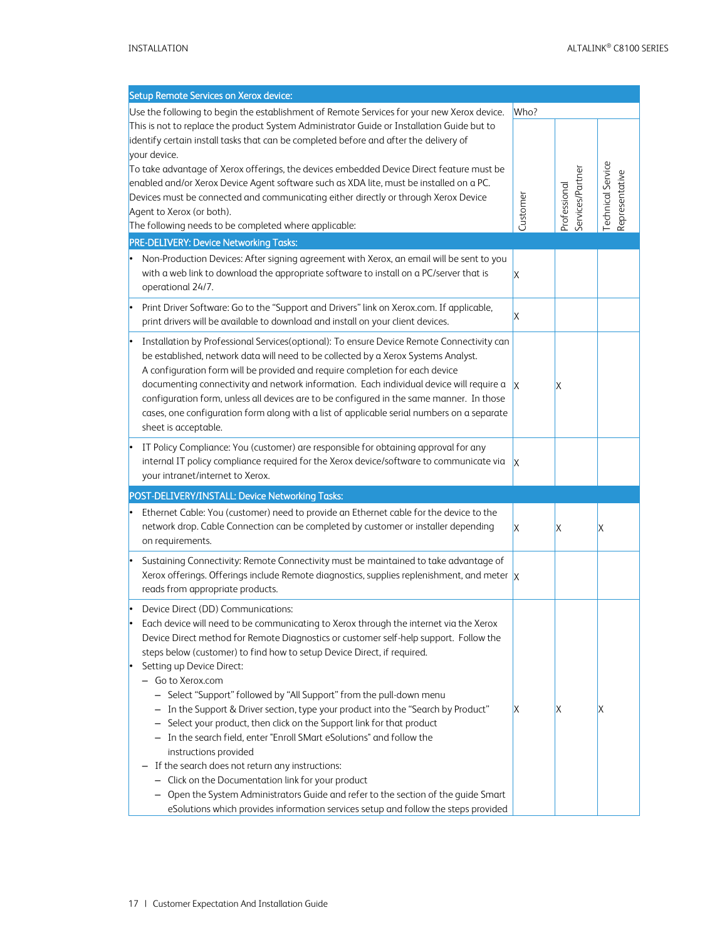| Setup Remote Services on Xerox device:                                                                                                                                                                                                                                                                                                                                                                                                                                                                                                                                                                                                                                                   |          |                                  |                                    |
|------------------------------------------------------------------------------------------------------------------------------------------------------------------------------------------------------------------------------------------------------------------------------------------------------------------------------------------------------------------------------------------------------------------------------------------------------------------------------------------------------------------------------------------------------------------------------------------------------------------------------------------------------------------------------------------|----------|----------------------------------|------------------------------------|
| Use the following to begin the establishment of Remote Services for your new Xerox device.                                                                                                                                                                                                                                                                                                                                                                                                                                                                                                                                                                                               | Who?     |                                  |                                    |
| This is not to replace the product System Administrator Guide or Installation Guide but to                                                                                                                                                                                                                                                                                                                                                                                                                                                                                                                                                                                               |          |                                  |                                    |
| identify certain install tasks that can be completed before and after the delivery of                                                                                                                                                                                                                                                                                                                                                                                                                                                                                                                                                                                                    |          |                                  |                                    |
| your device.                                                                                                                                                                                                                                                                                                                                                                                                                                                                                                                                                                                                                                                                             |          |                                  |                                    |
| To take advantage of Xerox offerings, the devices embedded Device Direct feature must be                                                                                                                                                                                                                                                                                                                                                                                                                                                                                                                                                                                                 |          |                                  |                                    |
| enabled and/or Xerox Device Agent software such as XDA lite, must be installed on a PC.                                                                                                                                                                                                                                                                                                                                                                                                                                                                                                                                                                                                  |          |                                  |                                    |
| Devices must be connected and communicating either directly or through Xerox Device                                                                                                                                                                                                                                                                                                                                                                                                                                                                                                                                                                                                      |          |                                  |                                    |
| Agent to Xerox (or both).                                                                                                                                                                                                                                                                                                                                                                                                                                                                                                                                                                                                                                                                | Customer | Services/Partner<br>Professional | echnical Service<br>Representative |
| The following needs to be completed where applicable:                                                                                                                                                                                                                                                                                                                                                                                                                                                                                                                                                                                                                                    |          |                                  |                                    |
| PRE-DELIVERY: Device Networking Tasks:                                                                                                                                                                                                                                                                                                                                                                                                                                                                                                                                                                                                                                                   |          |                                  |                                    |
| Non-Production Devices: After signing agreement with Xerox, an email will be sent to you<br>with a web link to download the appropriate software to install on a PC/server that is<br>operational 24/7.                                                                                                                                                                                                                                                                                                                                                                                                                                                                                  | IX       |                                  |                                    |
| Print Driver Software: Go to the "Support and Drivers" link on Xerox.com. If applicable,<br>print drivers will be available to download and install on your client devices.                                                                                                                                                                                                                                                                                                                                                                                                                                                                                                              | X        |                                  |                                    |
| Installation by Professional Services(optional): To ensure Device Remote Connectivity can<br>be established, network data will need to be collected by a Xerox Systems Analyst.<br>A configuration form will be provided and require completion for each device<br>documenting connectivity and network information. Each individual device will require a<br>configuration form, unless all devices are to be configured in the same manner. In those<br>cases, one configuration form along with a list of applicable serial numbers on a separate<br>sheet is acceptable.                                                                                                             | IX       | ΙX                               |                                    |
| IT Policy Compliance: You (customer) are responsible for obtaining approval for any<br>internal IT policy compliance required for the Xerox device/software to communicate via<br>your intranet/internet to Xerox.                                                                                                                                                                                                                                                                                                                                                                                                                                                                       | IX       |                                  |                                    |
| POST-DELIVERY/INSTALL: Device Networking Tasks:                                                                                                                                                                                                                                                                                                                                                                                                                                                                                                                                                                                                                                          |          |                                  |                                    |
| Ethernet Cable: You (customer) need to provide an Ethernet cable for the device to the<br>network drop. Cable Connection can be completed by customer or installer depending<br>on requirements.                                                                                                                                                                                                                                                                                                                                                                                                                                                                                         | ΙX       | ΙX                               | Χ                                  |
| Sustaining Connectivity: Remote Connectivity must be maintained to take advantage of<br>Xerox offerings. Offerings include Remote diagnostics, supplies replenishment, and meter $\vert x \vert$<br>reads from appropriate products.                                                                                                                                                                                                                                                                                                                                                                                                                                                     |          |                                  |                                    |
| Device Direct (DD) Communications:<br>Each device will need to be communicating to Xerox through the internet via the Xerox<br>Device Direct method for Remote Diagnostics or customer self-help support. Follow the<br>steps below (customer) to find how to setup Device Direct, if required.<br>Setting up Device Direct:<br>- Go to Xerox.com<br>- Select "Support" followed by "All Support" from the pull-down menu<br>- In the Support & Driver section, type your product into the "Search by Product"<br>Select your product, then click on the Support link for that product<br>- In the search field, enter "Enroll SMart eSolutions" and follow the<br>instructions provided | ΙX       | ΙX                               | Х                                  |
| If the search does not return any instructions:<br>- Click on the Documentation link for your product<br>Open the System Administrators Guide and refer to the section of the guide Smart<br>eSolutions which provides information services setup and follow the steps provided                                                                                                                                                                                                                                                                                                                                                                                                          |          |                                  |                                    |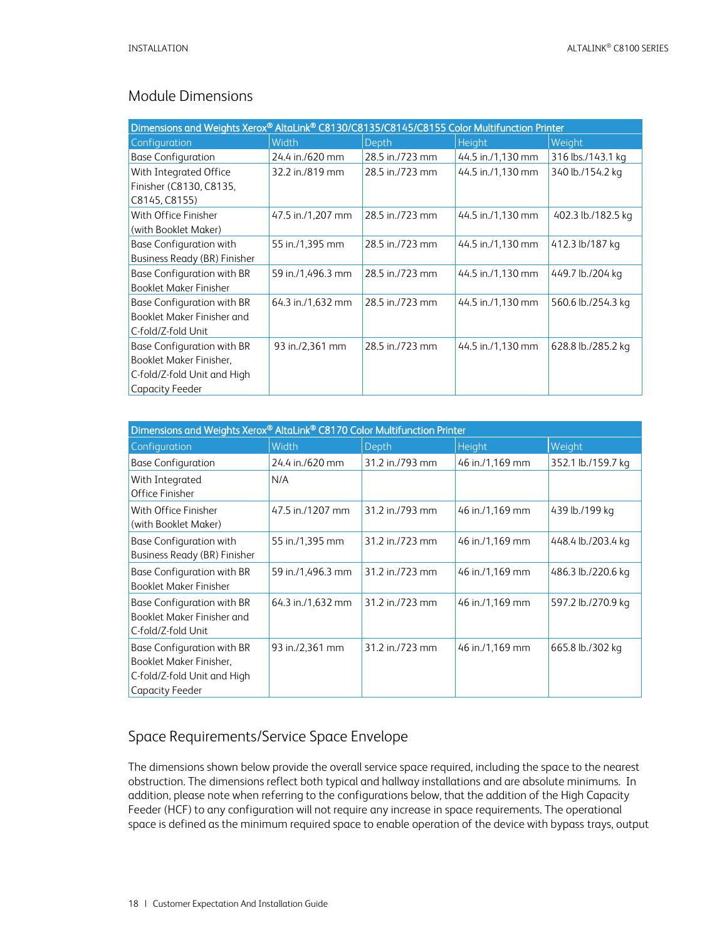# <span id="page-18-0"></span>Module Dimensions

| Dimensions and Weights Xerox® AltaLink® C8130/C8135/C8145/C8155 Color Multifunction Printer                    |                   |                 |                   |                    |  |
|----------------------------------------------------------------------------------------------------------------|-------------------|-----------------|-------------------|--------------------|--|
| Configuration                                                                                                  | Width             | Depth           | <b>Height</b>     | Weight             |  |
| <b>Base Configuration</b>                                                                                      | 24.4 in./620 mm   | 28.5 in./723 mm | 44.5 in./1,130 mm | 316 lbs./143.1 kg  |  |
| With Integrated Office<br>Finisher (C8130, C8135,<br>C8145, C8155)                                             | 32.2 in./819 mm   | 28.5 in./723 mm | 44.5 in./1.130 mm | 340 lb./154.2 kg   |  |
| With Office Finisher<br>(with Booklet Maker)                                                                   | 47.5 in./1,207 mm | 28.5 in./723 mm | 44.5 in./1.130 mm | 402.3 lb./182.5 kg |  |
| <b>Base Configuration with</b><br>Business Ready (BR) Finisher                                                 | 55 in./1,395 mm   | 28.5 in./723 mm | 44.5 in./1,130 mm | 412.3 lb/187 kg    |  |
| Base Configuration with BR<br><b>Booklet Maker Finisher</b>                                                    | 59 in./1,496.3 mm | 28.5 in./723 mm | 44.5 in./1.130 mm | 449.7 lb./204 kg   |  |
| Base Configuration with BR<br>Booklet Maker Finisher and<br>C-fold/Z-fold Unit                                 | 64.3 in./1,632 mm | 28.5 in./723 mm | 44.5 in./1.130 mm | 560.6 lb./254.3 kg |  |
| Base Configuration with BR<br>Booklet Maker Finisher,<br>C-fold/Z-fold Unit and High<br><b>Capacity Feeder</b> | 93 in./2,361 mm   | 28.5 in./723 mm | 44.5 in./1.130 mm | 628.8 lb./285.2 kg |  |

| Dimensions and Weights Xerox® AltaLink® C8170 Color Multifunction Printer                               |                   |                 |                 |                    |  |  |
|---------------------------------------------------------------------------------------------------------|-------------------|-----------------|-----------------|--------------------|--|--|
| Configuration                                                                                           | Width             | Depth           | <b>Height</b>   | Weight             |  |  |
| <b>Base Configuration</b>                                                                               | 24.4 in./620 mm   | 31.2 in./793 mm | 46 in./1,169 mm | 352.1 lb./159.7 kg |  |  |
| With Integrated<br>Office Finisher                                                                      | N/A               |                 |                 |                    |  |  |
| With Office Finisher<br>(with Booklet Maker)                                                            | 47.5 in./1207 mm  | 31.2 in./793 mm | 46 in./1,169 mm | 439 lb./199 kg     |  |  |
| <b>Base Configuration with</b><br>Business Ready (BR) Finisher                                          | 55 in./1,395 mm   | 31.2 in./723 mm | 46 in./1,169 mm | 448.4 lb./203.4 kg |  |  |
| Base Configuration with BR<br><b>Booklet Maker Finisher</b>                                             | 59 in./1,496.3 mm | 31.2 in./723 mm | 46 in./1,169 mm | 486.3 lb./220.6 kg |  |  |
| Base Configuration with BR<br>Booklet Maker Finisher and<br>C-fold/Z-fold Unit                          | 64.3 in./1,632 mm | 31.2 in./723 mm | 46 in./1,169 mm | 597.2 lb./270.9 kg |  |  |
| Base Configuration with BR<br>Booklet Maker Finisher,<br>C-fold/Z-fold Unit and High<br>Capacity Feeder | 93 in./2,361 mm   | 31.2 in./723 mm | 46 in./1,169 mm | 665.8 lb./302 kg   |  |  |

# <span id="page-18-1"></span>Space Requirements/Service Space Envelope

The dimensions shown below provide the overall service space required, including the space to the nearest obstruction. The dimensions reflect both typical and hallway installations and are absolute minimums. In addition, please note when referring to the configurations below, that the addition of the High Capacity Feeder (HCF) to any configuration will not require any increase in space requirements. The operational space is defined as the minimum required space to enable operation of the device with bypass trays, output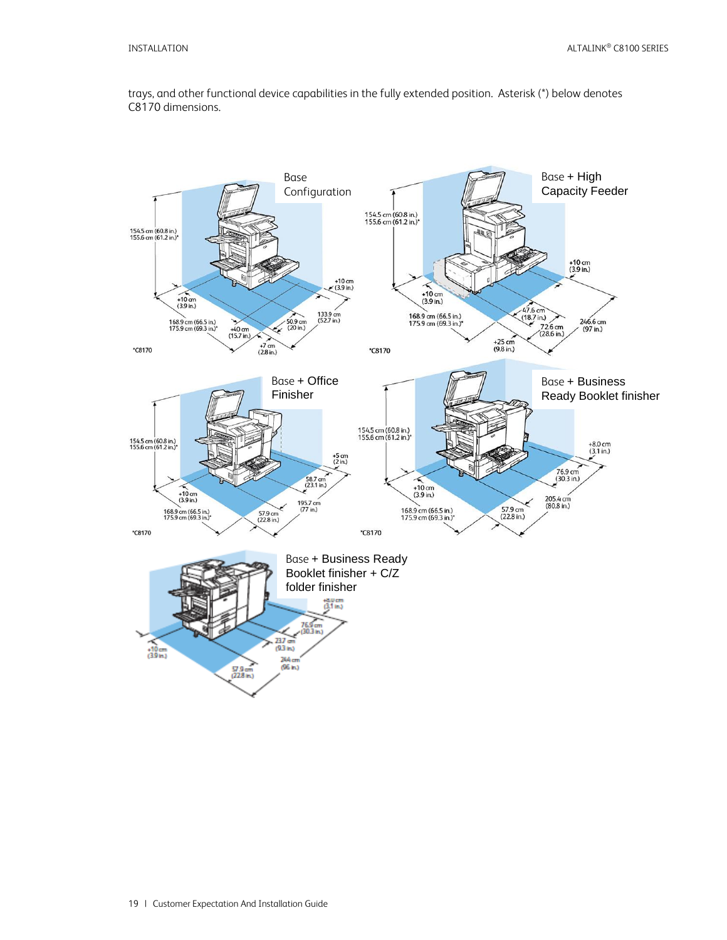trays, and other functional device capabilities in the fully extended position. Asterisk (\*) below denotes C8170 dimensions.

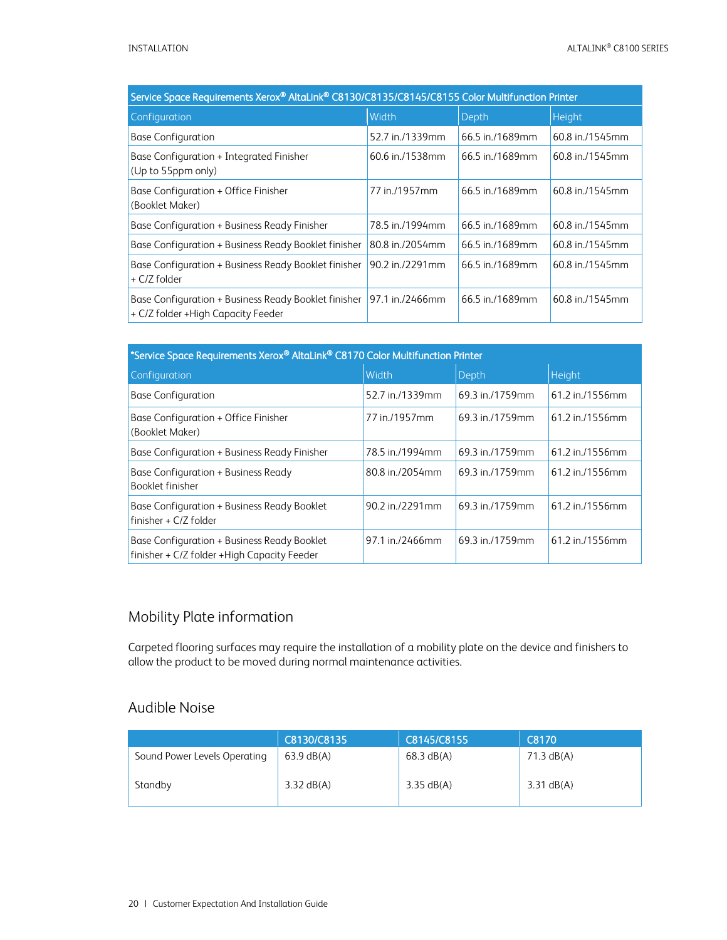| Service Space Requirements Xerox® AltaLink® C8130/C8135/C8145/C8155 Color Multifunction Printer |                 |                 |                 |  |
|-------------------------------------------------------------------------------------------------|-----------------|-----------------|-----------------|--|
| Configuration                                                                                   | Width           | Depth           | Height          |  |
| <b>Base Configuration</b>                                                                       | 52.7 in./1339mm | 66.5 in./1689mm | 60.8 in./1545mm |  |
| Base Configuration + Integrated Finisher<br>(Up to 55ppm only)                                  | 60.6 in./1538mm | 66.5 in./1689mm | 60.8 in./1545mm |  |
| Base Configuration + Office Finisher<br>(Booklet Maker)                                         | 77 in /1957mm   | 66.5 in./1689mm | 60.8 in./1545mm |  |
| Base Configuration + Business Ready Finisher                                                    | 78.5 in./1994mm | 66.5 in./1689mm | 60.8 in./1545mm |  |
| Base Configuration + Business Ready Booklet finisher                                            | 80.8 in./2054mm | 66.5 in./1689mm | 60.8 in./1545mm |  |
| Base Configuration + Business Ready Booklet finisher<br>+ C/Z folder                            | 90.2 in./2291mm | 66.5 in./1689mm | 60.8 in./1545mm |  |
| Base Configuration + Business Ready Booklet finisher<br>+ C/Z folder +High Capacity Feeder      | 97.1 in./2466mm | 66.5 in./1689mm | 60.8 in./1545mm |  |

| *Service Space Requirements Xerox® AltaLink® C8170 Color Multifunction Printer              |                 |                 |                 |  |  |
|---------------------------------------------------------------------------------------------|-----------------|-----------------|-----------------|--|--|
| Configuration                                                                               | Width           | Depth           | <b>Height</b>   |  |  |
| <b>Base Configuration</b>                                                                   | 52.7 in./1339mm | 69.3 in./1759mm | 61.2 in./1556mm |  |  |
| Base Configuration + Office Finisher<br>(Booklet Maker)                                     | 77 in./1957mm   | 69.3 in./1759mm | 61.2 in./1556mm |  |  |
| Base Configuration + Business Ready Finisher                                                | 78.5 in./1994mm | 69.3 in./1759mm | 61.2 in./1556mm |  |  |
| Base Configuration + Business Ready<br>Booklet finisher                                     | 80.8 in./2054mm | 69.3 in /1759mm | 61.2 in./1556mm |  |  |
| Base Configuration + Business Ready Booklet<br>finisher + $C/Z$ folder                      | 90.2 in./2291mm | 69.3 in./1759mm | 61.2 in./1556mm |  |  |
| Base Configuration + Business Ready Booklet<br>finisher + C/Z folder + High Capacity Feeder | 97.1 in./2466mm | 69.3 in./1759mm | 61.2 in./1556mm |  |  |

# <span id="page-20-0"></span>Mobility Plate information

Carpeted flooring surfaces may require the installation of a mobility plate on the device and finishers to allow the product to be moved during normal maintenance activities.

### <span id="page-20-1"></span>Audible Noise

|                              | C8130/C8135  | C8145/C8155  | C8170                |
|------------------------------|--------------|--------------|----------------------|
| Sound Power Levels Operating | $63.9$ dB(A) | $68.3$ dB(A) | $71.3 \text{ dB}(A)$ |
| Standby                      | $3.32$ dB(A) | $3.35$ dB(A) | $3.31$ dB(A)         |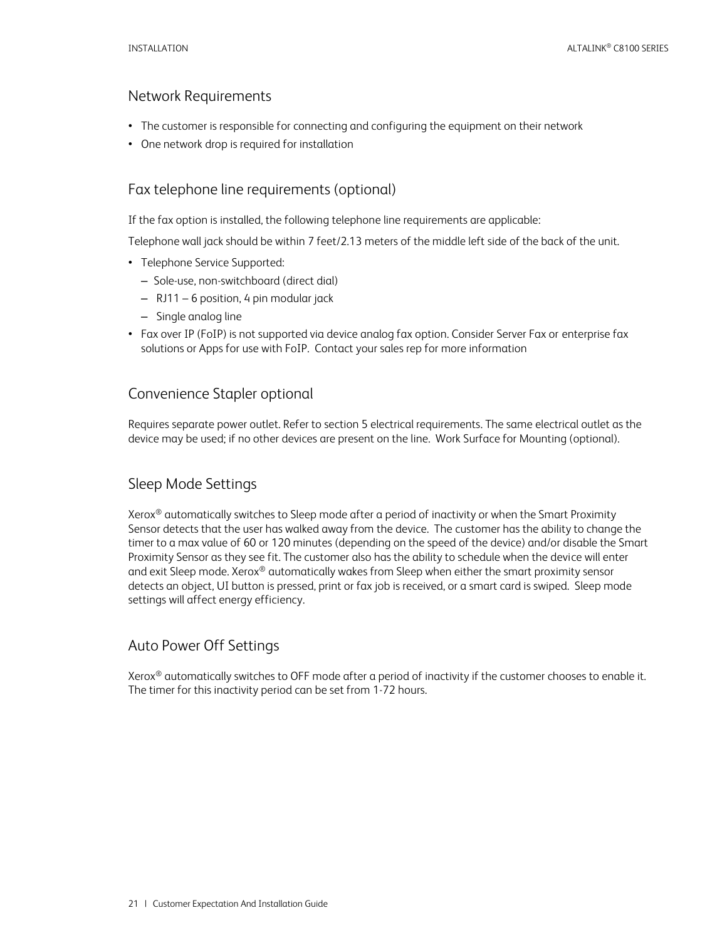### <span id="page-21-0"></span>Network Requirements

- The customer is responsible for connecting and configuring the equipment on their network
- <span id="page-21-1"></span>• One network drop is required for installation

### Fax telephone line requirements (optional)

If the fax option is installed, the following telephone line requirements are applicable:

Telephone wall jack should be within 7 feet/2.13 meters of the middle left side of the back of the unit.

- Telephone Service Supported:
	- Sole-use, non-switchboard (direct dial)
	- RJ11 6 position, 4 pin modular jack
	- Single analog line
- Fax over IP (FoIP) is not supported via device analog fax option. Consider Server Fax or enterprise fax solutions or Apps for use with FoIP. Contact your sales rep for more information

### <span id="page-21-2"></span>Convenience Stapler optional

Requires separate power outlet. Refer to section 5 electrical requirements. The same electrical outlet as the device may be used; if no other devices are present on the line. Work Surface for Mounting (optional).

# <span id="page-21-3"></span>Sleep Mode Settings

Xerox® automatically switches to Sleep mode after a period of inactivity or when the Smart Proximity Sensor detects that the user has walked away from the device. The customer has the ability to change the timer to a max value of 60 or 120 minutes (depending on the speed of the device) and/or disable the Smart Proximity Sensor as they see fit. The customer also has the ability to schedule when the device will enter and exit Sleep mode. Xerox® automatically wakes from Sleep when either the smart proximity sensor detects an object, UI button is pressed, print or fax job is received, or a smart card is swiped. Sleep mode settings will affect energy efficiency.

# <span id="page-21-4"></span>Auto Power Off Settings

Xerox® automatically switches to OFF mode after a period of inactivity if the customer chooses to enable it. The timer for this inactivity period can be set from 1-72 hours.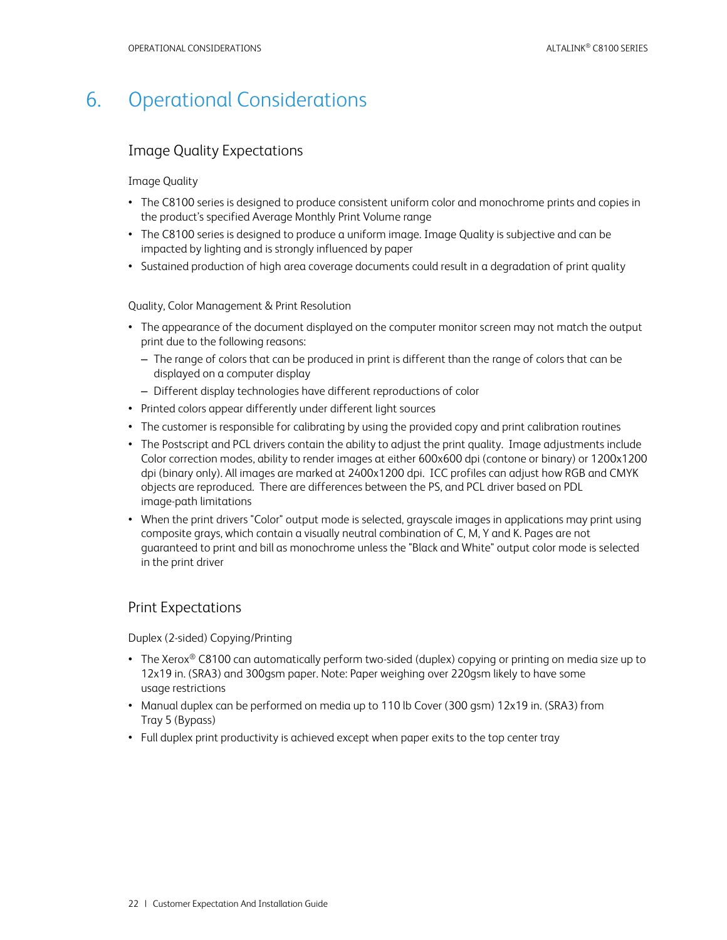# <span id="page-22-0"></span>6. Operational Considerations

### <span id="page-22-1"></span>Image Quality Expectations

#### Image Quality

- The C8100 series is designed to produce consistent uniform color and monochrome prints and copies in the product's specified Average Monthly Print Volume range
- The C8100 series is designed to produce a uniform image. Image Quality is subjective and can be impacted by lighting and is strongly influenced by paper
- Sustained production of high area coverage documents could result in a degradation of print quality

Quality, Color Management & Print Resolution

- The appearance of the document displayed on the computer monitor screen may not match the output print due to the following reasons:
	- The range of colors that can be produced in print is different than the range of colors that can be displayed on a computer display
	- Different display technologies have different reproductions of color
- Printed colors appear differently under different light sources
- The customer is responsible for calibrating by using the provided copy and print calibration routines
- The Postscript and PCL drivers contain the ability to adjust the print quality. Image adjustments include Color correction modes, ability to render images at either 600x600 dpi (contone or binary) or 1200x1200 dpi (binary only). All images are marked at 2400x1200 dpi. ICC profiles can adjust how RGB and CMYK objects are reproduced. There are differences between the PS, and PCL driver based on PDL image-path limitations
- When the print drivers "Color" output mode is selected, grayscale images in applications may print using composite grays, which contain a visually neutral combination of C, M, Y and K. Pages are not guaranteed to print and bill as monochrome unless the "Black and White" output color mode is selected in the print driver

### <span id="page-22-2"></span>Print Expectations

Duplex (2-sided) Copying/Printing

- The Xerox® C8100 can automatically perform two-sided (duplex) copying or printing on media size up to 12x19 in. (SRA3) and 300gsm paper. Note: Paper weighing over 220gsm likely to have some usage restrictions
- Manual duplex can be performed on media up to 110 lb Cover (300 gsm) 12x19 in. (SRA3) from Tray 5 (Bypass)
- Full duplex print productivity is achieved except when paper exits to the top center tray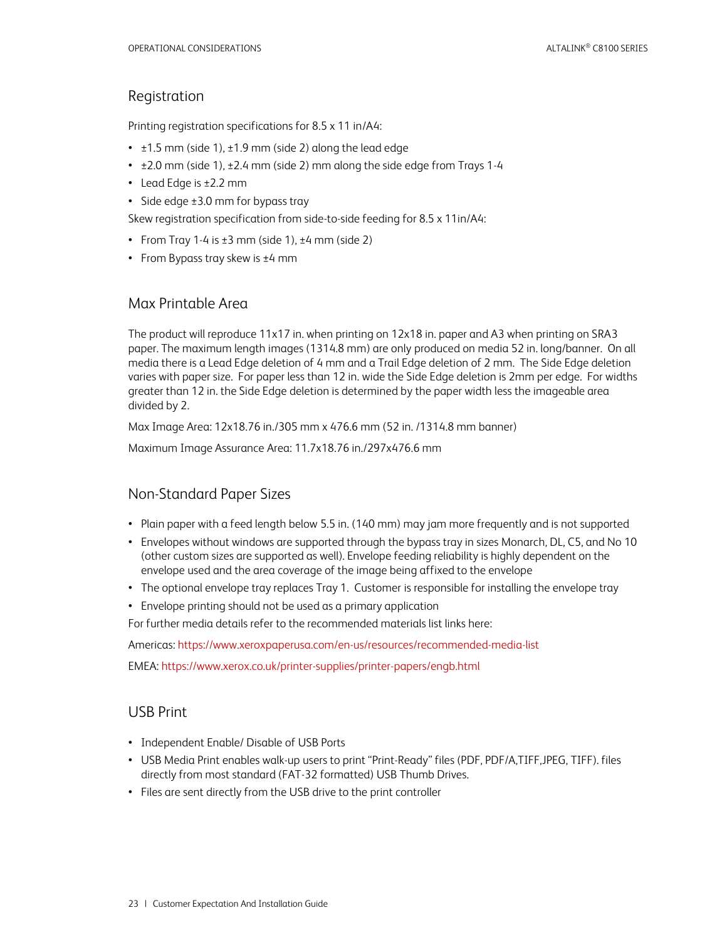### <span id="page-23-0"></span>Registration

Printing registration specifications for 8.5 x 11 in/A4:

- $\cdot$   $\pm$ 1.5 mm (side 1),  $\pm$ 1.9 mm (side 2) along the lead edge
- $\cdot$   $\pm$ 2.0 mm (side 1),  $\pm$ 2.4 mm (side 2) mm along the side edge from Trays 1-4
- Lead Edge is ±2.2 mm
- Side edge ±3.0 mm for bypass tray

Skew registration specification from side-to-side feeding for 8.5 x 11in/A4:

- From Tray 1-4 is  $\pm 3$  mm (side 1),  $\pm 4$  mm (side 2)
- <span id="page-23-1"></span>• From Bypass tray skew is ±4 mm

### Max Printable Area

The product will reproduce 11x17 in. when printing on 12x18 in. paper and A3 when printing on SRA3 paper. The maximum length images (1314.8 mm) are only produced on media 52 in. long/banner. On all media there is a Lead Edge deletion of 4 mm and a Trail Edge deletion of 2 mm. The Side Edge deletion varies with paper size. For paper less than 12 in. wide the Side Edge deletion is 2mm per edge. For widths greater than 12 in. the Side Edge deletion is determined by the paper width less the imageable area divided by 2.

Max Image Area: 12x18.76 in./305 mm x 476.6 mm (52 in. /1314.8 mm banner)

<span id="page-23-2"></span>Maximum Image Assurance Area: 11.7x18.76 in./297x476.6 mm

### Non-Standard Paper Sizes

- Plain paper with a feed length below 5.5 in. (140 mm) may jam more frequently and is not supported
- Envelopes without windows are supported through the bypass tray in sizes Monarch, DL, C5, and No 10 (other custom sizes are supported as well). Envelope feeding reliability is highly dependent on the envelope used and the area coverage of the image being affixed to the envelope
- The optional envelope tray replaces Tray 1. Customer is responsible for installing the envelope tray
- Envelope printing should not be used as a primary application

For further media details refer to the recommended materials list links here:

Americas:<https://www.xeroxpaperusa.com/en-us/resources/recommended-media-list>

<span id="page-23-3"></span>EMEA:<https://www.xerox.co.uk/printer-supplies/printer-papers/engb.html>

### USB Print

- Independent Enable/ Disable of USB Ports
- USB Media Print enables walk-up users to print "Print-Ready" files (PDF, PDF/A,TIFF,JPEG, TIFF). files directly from most standard (FAT-32 formatted) USB Thumb Drives.
- Files are sent directly from the USB drive to the print controller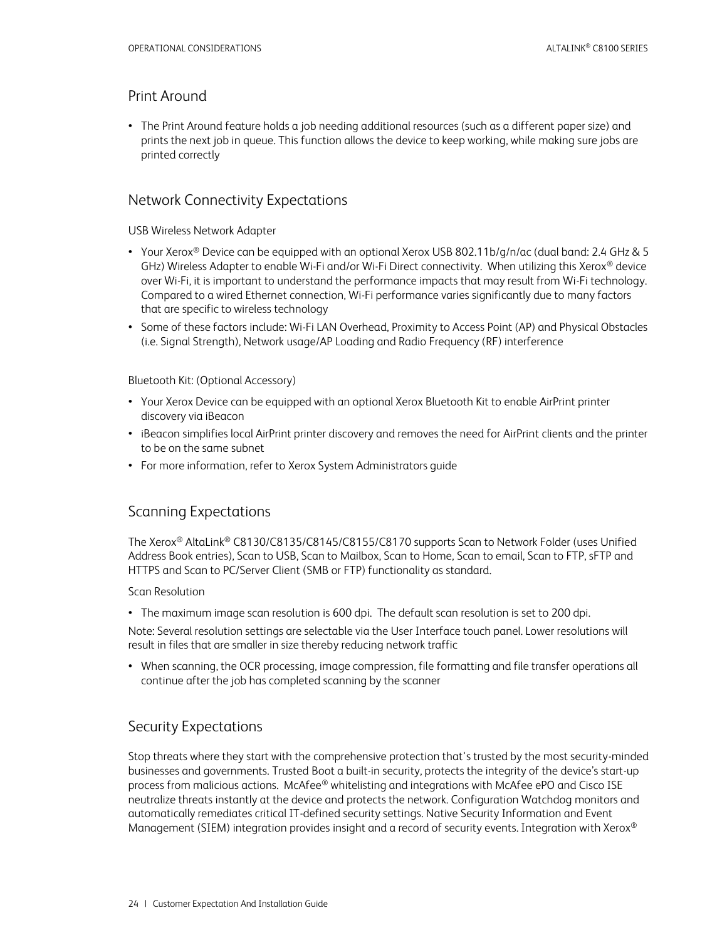### <span id="page-24-0"></span>Print Around

• The Print Around feature holds a job needing additional resources (such as a different paper size) and prints the next job in queue. This function allows the device to keep working, while making sure jobs are printed correctly

### <span id="page-24-1"></span>Network Connectivity Expectations

USB Wireless Network Adapter

- Your Xerox® Device can be equipped with an optional Xerox USB 802.11b/g/n/ac (dual band: 2.4 GHz & 5 GHz) Wireless Adapter to enable Wi-Fi and/or Wi-Fi Direct connectivity. When utilizing this Xerox<sup>®</sup> device over Wi-Fi, it is important to understand the performance impacts that may result from Wi-Fi technology. Compared to a wired Ethernet connection, Wi-Fi performance varies significantly due to many factors that are specific to wireless technology
- Some of these factors include: Wi-Fi LAN Overhead, Proximity to Access Point (AP) and Physical Obstacles (i.e. Signal Strength), Network usage/AP Loading and Radio Frequency (RF) interference

### Bluetooth Kit: (Optional Accessory)

- Your Xerox Device can be equipped with an optional Xerox Bluetooth Kit to enable AirPrint printer discovery via iBeacon
- iBeacon simplifies local AirPrint printer discovery and removes the need for AirPrint clients and the printer to be on the same subnet
- <span id="page-24-2"></span>• For more information, refer to Xerox System Administrators guide

### Scanning Expectations

The Xerox® AltaLink® C8130/C8135/C8145/C8155/C8170 supports Scan to Network Folder (uses Unified Address Book entries), Scan to USB, Scan to Mailbox, Scan to Home, Scan to email, Scan to FTP, sFTP and HTTPS and Scan to PC/Server Client (SMB or FTP) functionality as standard.

### Scan Resolution

• The maximum image scan resolution is 600 dpi. The default scan resolution is set to 200 dpi.

Note: Several resolution settings are selectable via the User Interface touch panel. Lower resolutions will result in files that are smaller in size thereby reducing network traffic

• When scanning, the OCR processing, image compression, file formatting and file transfer operations all continue after the job has completed scanning by the scanner

### <span id="page-24-3"></span>Security Expectations

Stop threats where they start with the comprehensive protection that's trusted by the most security-minded businesses and governments. Trusted Boot a built-in security, protects the integrity of the device's start-up process from malicious actions. McAfee® whitelisting and integrations with McAfee ePO and Cisco ISE neutralize threats instantly at the device and protects the network. Configuration Watchdog monitors and automatically remediates critical IT-defined security settings. Native Security Information and Event Management (SIEM) integration provides insight and a record of security events. Integration with Xerox®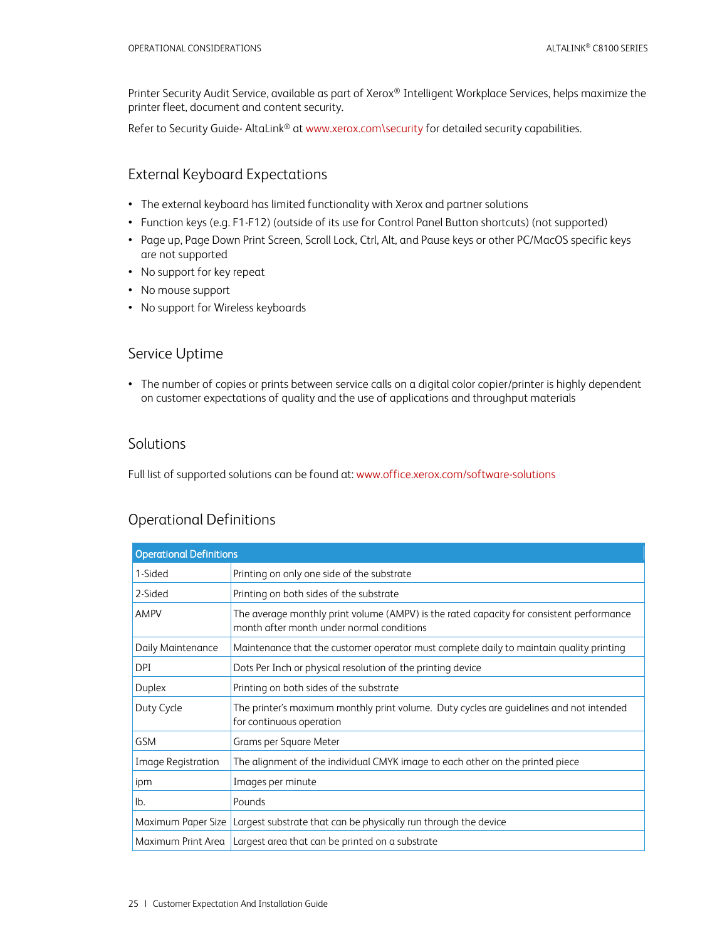Printer Security Audit Service, available as part of Xerox® Intelligent Workplace Services, helps maximize the printer fleet, document and content security.

<span id="page-25-0"></span>Refer to Security Guide- AltaLink® a[t www.xerox.com\security](http://www.xerox.com/security) for detailed security capabilities.

### External Keyboard Expectations

- The external keyboard has limited functionality with Xerox and partner solutions
- Function keys (e.g. F1-F12) (outside of its use for Control Panel Button shortcuts) (not supported)
- Page up, Page Down Print Screen, Scroll Lock, Ctrl, Alt, and Pause keys or other PC/MacOS specific keys are not supported
- No support for key repeat
- No mouse support
- <span id="page-25-1"></span>• No support for Wireless keyboards

### Service Uptime

• The number of copies or prints between service calls on a digital color copier/printer is highly dependent on customer expectations of quality and the use of applications and throughput materials

### <span id="page-25-2"></span>**Solutions**

<span id="page-25-3"></span>Full list of supported solutions can be found at[: www.office.xerox.com/software-solutions](http://www.office.xerox.com/software-solutions)

### Operational Definitions

| <b>Operational Definitions</b> |                                                                                                                                       |
|--------------------------------|---------------------------------------------------------------------------------------------------------------------------------------|
| 1-Sided                        | Printing on only one side of the substrate                                                                                            |
| 2-Sided                        | Printing on both sides of the substrate                                                                                               |
| <b>AMPV</b>                    | The average monthly print volume (AMPV) is the rated capacity for consistent performance<br>month after month under normal conditions |
| Daily Maintenance              | Maintenance that the customer operator must complete daily to maintain quality printing                                               |
| DPI                            | Dots Per Inch or physical resolution of the printing device                                                                           |
| Duplex                         | Printing on both sides of the substrate                                                                                               |
| Duty Cycle                     | The printer's maximum monthly print volume. Duty cycles are quidelines and not intended<br>for continuous operation                   |
| <b>GSM</b>                     | Grams per Square Meter                                                                                                                |
| <b>Image Registration</b>      | The alignment of the individual CMYK image to each other on the printed piece                                                         |
| ipm                            | Images per minute                                                                                                                     |
| lb.                            | Pounds                                                                                                                                |
|                                | Maximum Paper Size   Largest substrate that can be physically run through the device                                                  |
|                                | Maximum Print Area   Largest area that can be printed on a substrate                                                                  |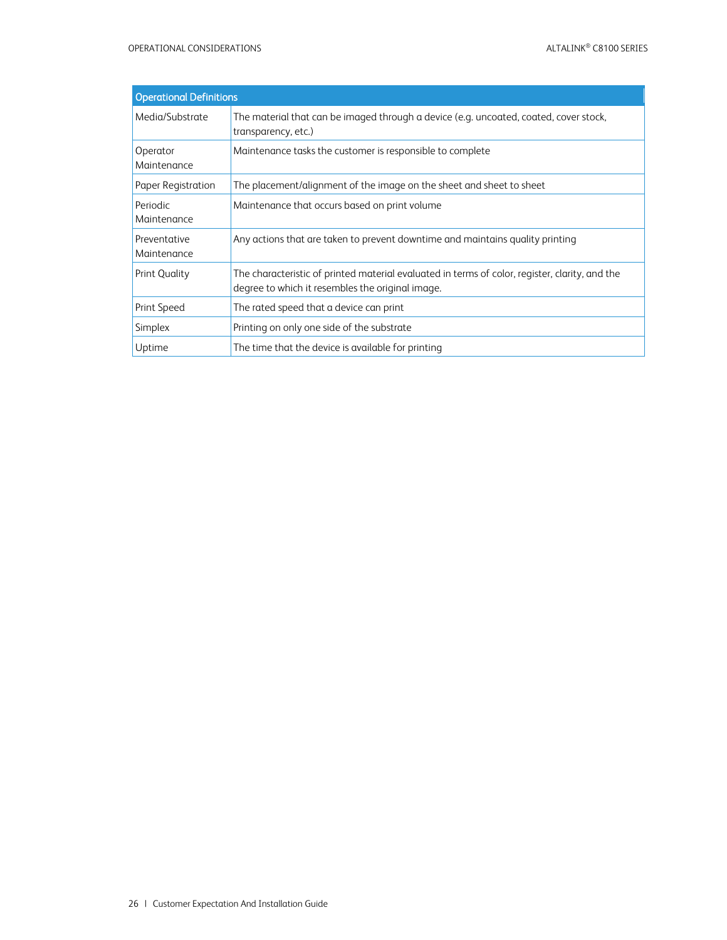| <b>Operational Definitions</b> |                                                                                                                                                    |
|--------------------------------|----------------------------------------------------------------------------------------------------------------------------------------------------|
| Media/Substrate                | The material that can be imaged through a device (e.g. uncoated, coated, cover stock,<br>transparency, etc.)                                       |
| Operator<br>Maintenance        | Maintenance tasks the customer is responsible to complete                                                                                          |
| Paper Registration             | The placement/alignment of the image on the sheet and sheet to sheet                                                                               |
| Periodic<br>Maintenance        | Maintenance that occurs based on print volume                                                                                                      |
| Preventative<br>Maintenance    | Any actions that are taken to prevent downtime and maintains quality printing                                                                      |
| <b>Print Quality</b>           | The characteristic of printed material evaluated in terms of color, register, clarity, and the<br>degree to which it resembles the original image. |
| Print Speed                    | The rated speed that a device can print                                                                                                            |
| Simplex                        | Printing on only one side of the substrate                                                                                                         |
| Uptime                         | The time that the device is available for printing                                                                                                 |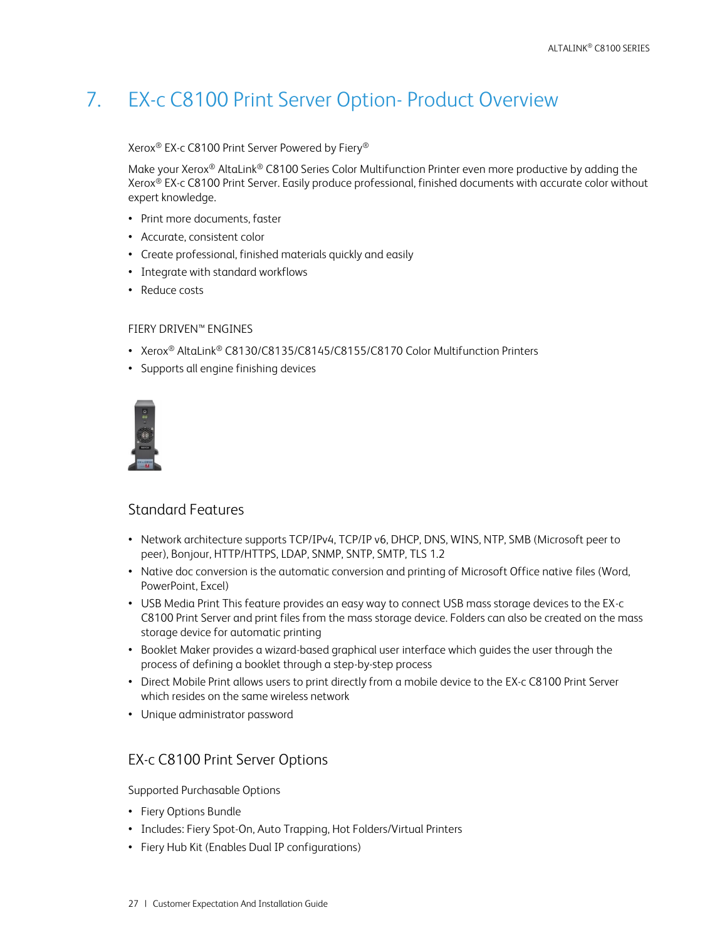# <span id="page-27-0"></span>7. EX-c C8100 Print Server Option- Product Overview

### Xerox® EX-c C8100 Print Server Powered by Fiery®

Make your Xerox<sup>®</sup> AltaLink<sup>®</sup> C8100 Series Color Multifunction Printer even more productive by adding the Xerox® EX-c C8100 Print Server. Easily produce professional, finished documents with accurate color without expert knowledge.

- Print more documents, faster
- Accurate, consistent color
- Create professional, finished materials quickly and easily
- Integrate with standard workflows
- Reduce costs

### FIERY DRIVEN™ ENGINES

- Xerox® AltaLink® C8130/C8135/C8145/C8155/C8170 Color Multifunction Printers
- Supports all engine finishing devices



### <span id="page-27-1"></span>Standard Features

- Network architecture supports TCP/IPv4, TCP/IP v6, DHCP, DNS, WINS, NTP, SMB (Microsoft peer to peer), Bonjour, HTTP/HTTPS, LDAP, SNMP, SNTP, SMTP, TLS 1.2
- Native doc conversion is the automatic conversion and printing of Microsoft Office native files (Word, PowerPoint, Excel)
- USB Media Print This feature provides an easy way to connect USB mass storage devices to the EX-c C8100 Print Server and print files from the mass storage device. Folders can also be created on the mass storage device for automatic printing
- Booklet Maker provides a wizard-based graphical user interface which guides the user through the process of defining a booklet through a step-by-step process
- Direct Mobile Print allows users to print directly from a mobile device to the EX-c C8100 Print Server which resides on the same wireless network
- <span id="page-27-2"></span>• Unique administrator password

### EX-c C8100 Print Server Options

Supported Purchasable Options

- Fiery Options Bundle
- Includes: Fiery Spot-On, Auto Trapping, Hot Folders/Virtual Printers
- Fiery Hub Kit (Enables Dual IP configurations)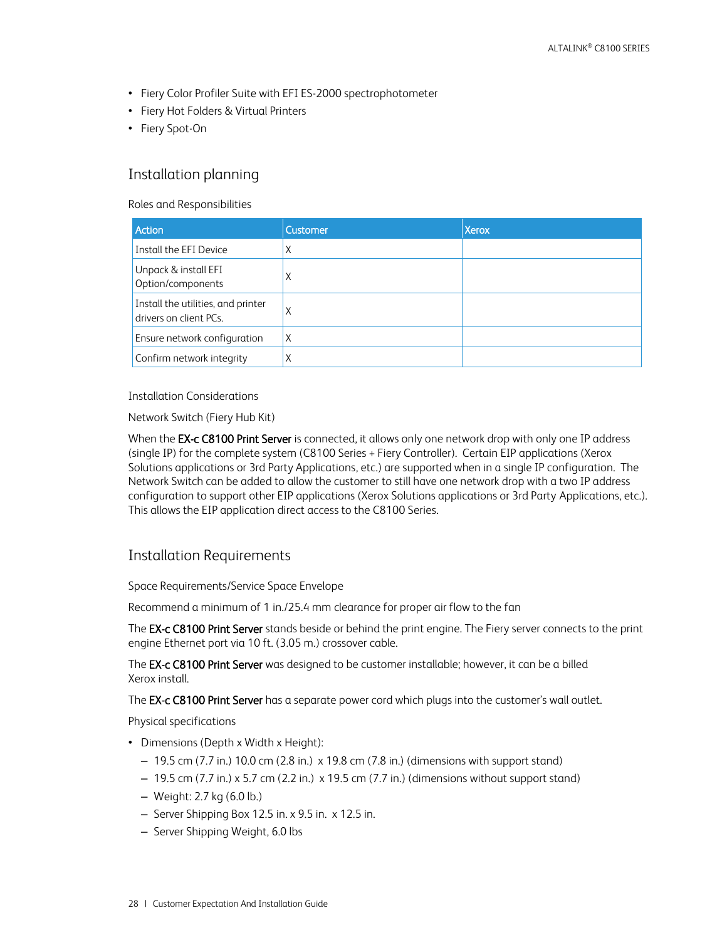- Fiery Color Profiler Suite with EFI ES-2000 spectrophotometer
- Fiery Hot Folders & Virtual Printers
- <span id="page-28-0"></span>• Fiery Spot-On

### Installation planning

Roles and Responsibilities

| Action                                                       | <b>Customer</b> | <b>Xerox</b> |
|--------------------------------------------------------------|-----------------|--------------|
| Install the EFI Device                                       |                 |              |
| Unpack & install EFI<br>Option/components                    |                 |              |
| Install the utilities, and printer<br>drivers on client PCs. |                 |              |
| Ensure network configuration                                 |                 |              |
| Confirm network integrity                                    |                 |              |

#### Installation Considerations

Network Switch (Fiery Hub Kit)

When the EX-c C8100 Print Server is connected, it allows only one network drop with only one IP address (single IP) for the complete system (C8100 Series + Fiery Controller). Certain EIP applications (Xerox Solutions applications or 3rd Party Applications, etc.) are supported when in a single IP configuration. The Network Switch can be added to allow the customer to still have one network drop with a two IP address configuration to support other EIP applications (Xerox Solutions applications or 3rd Party Applications, etc.). This allows the EIP application direct access to the C8100 Series.

### <span id="page-28-1"></span>Installation Requirements

Space Requirements/Service Space Envelope

Recommend a minimum of 1 in./25.4 mm clearance for proper air flow to the fan

The **EX-c C8100 Print Server** stands beside or behind the print engine. The Fiery server connects to the print engine Ethernet port via 10 ft. (3.05 m.) crossover cable.

The EX-c C8100 Print Server was designed to be customer installable; however, it can be a billed Xerox install.

The **EX-c C8100 Print Server** has a separate power cord which plugs into the customer's wall outlet.

Physical specifications

- Dimensions (Depth x Width x Height):
	- 19.5 cm (7.7 in.) 10.0 cm (2.8 in.) x 19.8 cm (7.8 in.) (dimensions with support stand)
	- $-19.5$  cm (7.7 in.) x 5.7 cm (2.2 in.) x 19.5 cm (7.7 in.) (dimensions without support stand)
	- Weight: 2.7 kg (6.0 lb.)
	- Server Shipping Box 12.5 in. x 9.5 in. x 12.5 in.
	- Server Shipping Weight, 6.0 lbs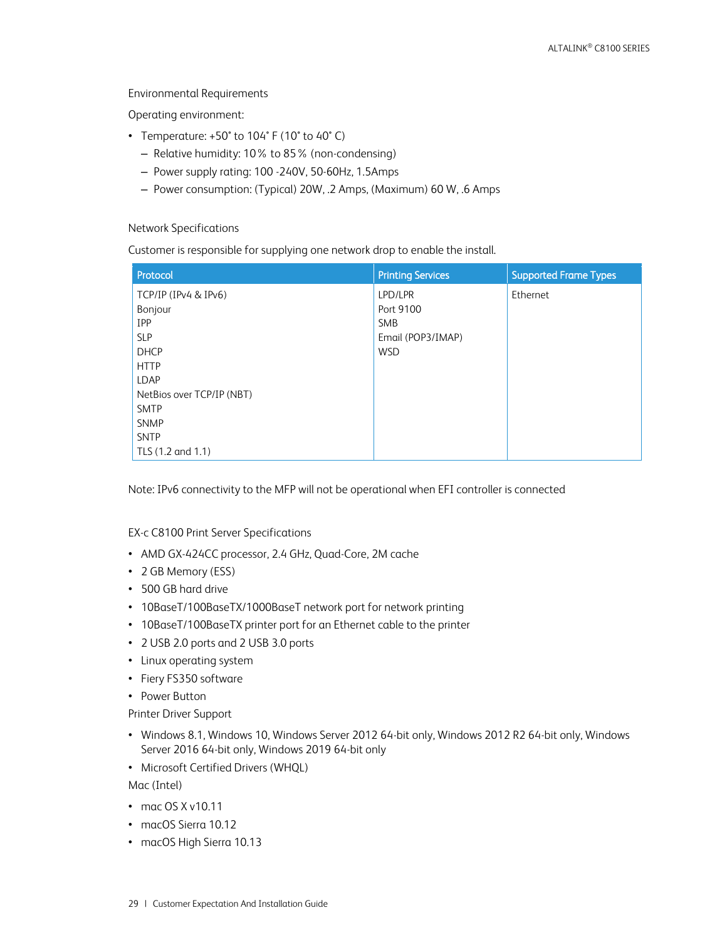Environmental Requirements

Operating environment:

- Temperature: +50° to 104° F (10° to 40° C)
	- Relative humidity: 10% to 85% (non-condensing)
	- Power supply rating: 100 -240V, 50-60Hz, 1.5Amps
	- Power consumption: (Typical) 20W, .2 Amps, (Maximum) 60 W, .6 Amps

#### Network Specifications

Customer is responsible for supplying one network drop to enable the install.

| Protocol                  | <b>Printing Services</b> | <b>Supported Frame Types</b> |
|---------------------------|--------------------------|------------------------------|
| TCP/IP (IPv4 & IPv6)      | LPD/LPR                  | Ethernet                     |
| Bonjour                   | Port 9100                |                              |
| <b>IPP</b>                | <b>SMB</b>               |                              |
| <b>SLP</b>                | Email (POP3/IMAP)        |                              |
| <b>DHCP</b>               | <b>WSD</b>               |                              |
| <b>HTTP</b>               |                          |                              |
| <b>LDAP</b>               |                          |                              |
| NetBios over TCP/IP (NBT) |                          |                              |
| <b>SMTP</b>               |                          |                              |
| <b>SNMP</b>               |                          |                              |
| <b>SNTP</b>               |                          |                              |
| TLS (1.2 and 1.1)         |                          |                              |

Note: IPv6 connectivity to the MFP will not be operational when EFI controller is connected

### EX-c C8100 Print Server Specifications

- AMD GX-424CC processor, 2.4 GHz, Quad-Core, 2M cache
- 2 GB Memory (ESS)
- 500 GB hard drive
- 10BaseT/100BaseTX/1000BaseT network port for network printing
- 10BaseT/100BaseTX printer port for an Ethernet cable to the printer
- 2 USB 2.0 ports and 2 USB 3.0 ports
- Linux operating system
- Fiery FS350 software
- Power Button

Printer Driver Support

- Windows 8.1, Windows 10, Windows Server 2012 64-bit only, Windows 2012 R2 64-bit only, Windows Server 2016 64-bit only, Windows 2019 64-bit only
- Microsoft Certified Drivers (WHQL)

Mac (Intel)

- mac OS X v10.11
- macOS Sierra 10.12
- macOS High Sierra 10.13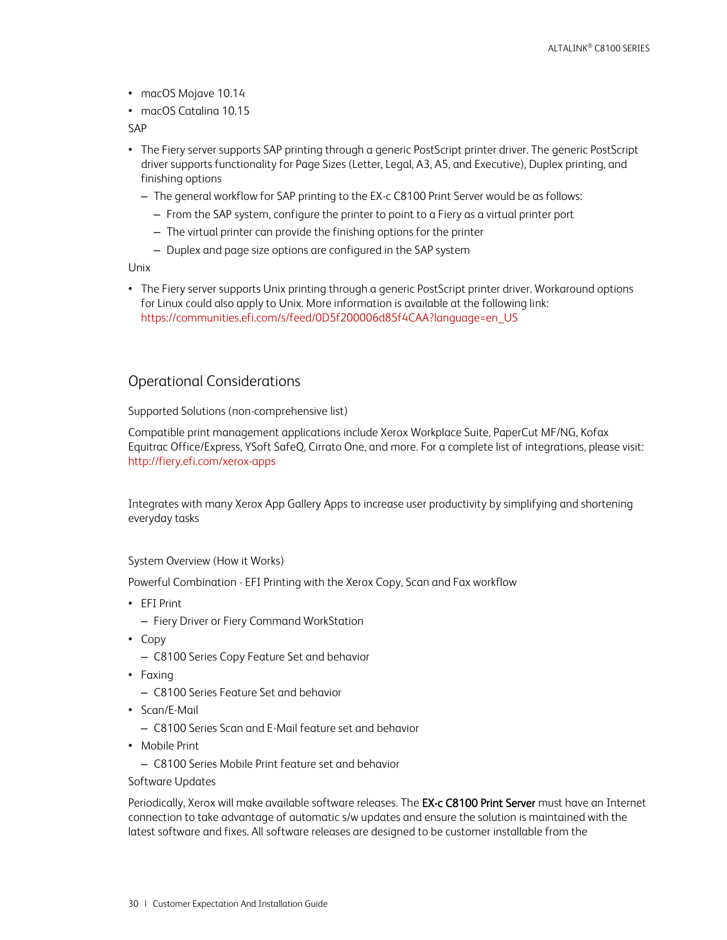- macOS Mojave 10.14
- macOS Catalina 10.15

SAP

- The Fiery server supports SAP printing through a generic PostScript printer driver. The generic PostScript driver supports functionality for Page Sizes (Letter, Legal, A3, A5, and Executive), Duplex printing, and finishing options
	- The general workflow for SAP printing to the EX-c C8100 Print Server would be as follows:
		- From the SAP system, configure the printer to point to a Fiery as a virtual printer port
		- The virtual printer can provide the finishing options for the printer
		- Duplex and page size options are configured in the SAP system

Unix

• The Fiery server supports Unix printing through a generic PostScript printer driver. Workaround options for Linux could also apply to Unix. More information is available at the following link: https://communities.efi.com/s/feed/0D5f200006d85f4CAA?language=en\_US

### <span id="page-30-0"></span>Operational Considerations

Supported Solutions (non-comprehensive list)

Compatible print management applications include Xerox Workplace Suite, PaperCut MF/NG, Kofax Equitrac Office/Express, YSoft SafeQ, Cirrato One, and more. For a complete list of integrations, please visit: <http://fiery.efi.com/xerox-apps>

Integrates with many Xerox App Gallery Apps to increase user productivity by simplifying and shortening everyday tasks

#### System Overview (How it Works)

Powerful Combination - EFI Printing with the Xerox Copy, Scan and Fax workflow

- EFI Print
	- Fiery Driver or Fiery Command WorkStation
- Copy
	- C8100 Series Copy Feature Set and behavior
- Faxing
	- C8100 Series Feature Set and behavior
- Scan/E-Mail
	- C8100 Series Scan and E-Mail feature set and behavior
- Mobile Print
	- C8100 Series Mobile Print feature set and behavior

#### Software Updates

Periodically, Xerox will make available software releases. The EX-c C8100 Print Server must have an Internet connection to take advantage of automatic s/w updates and ensure the solution is maintained with the latest software and fixes. All software releases are designed to be customer installable from the